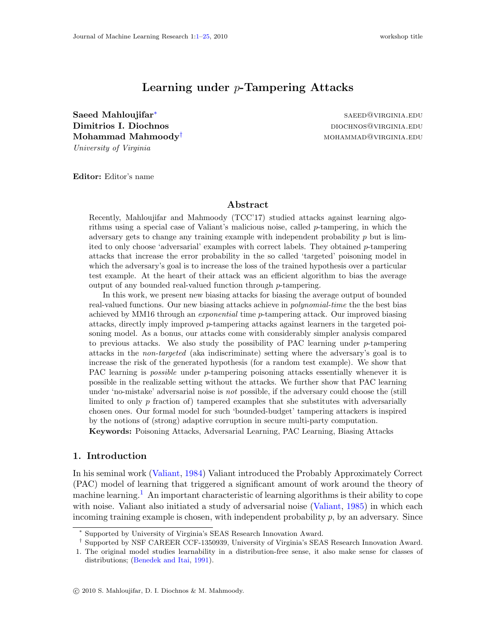# Learning under p-Tampering Attacks

<span id="page-0-0"></span>Saeed Mahloujifar<sup>∗</sup> Dimitrios I. Diochnos diochnos diochnos diochnos diochnos diochnos diochnos diochnos diochnos diochnos diochnos  $\mathbf{Mohammad\,\, Mahmoody}^\dagger$  mohammad  $\mathbf{Mahnoody}^\dagger$ University of Virginia

saeed@virginia.edu

Editor: Editor's name

# Abstract

Recently, Mahloujifar and Mahmoody (TCC'17) studied attacks against learning algorithms using a special case of Valiant's malicious noise, called p-tampering, in which the adversary gets to change any training example with independent probability  $p$  but is limited to only choose 'adversarial' examples with correct labels. They obtained p-tampering attacks that increase the error probability in the so called 'targeted' poisoning model in which the adversary's goal is to increase the loss of the trained hypothesis over a particular test example. At the heart of their attack was an efficient algorithm to bias the average output of any bounded real-valued function through p-tampering.

In this work, we present new biasing attacks for biasing the average output of bounded real-valued functions. Our new biasing attacks achieve in polynomial-time the the best bias achieved by MM16 through an *exponential* time p-tampering attack. Our improved biasing attacks, directly imply improved p-tampering attacks against learners in the targeted poisoning model. As a bonus, our attacks come with considerably simpler analysis compared to previous attacks. We also study the possibility of PAC learning under  $p$ -tampering attacks in the non-targeted (aka indiscriminate) setting where the adversary's goal is to increase the risk of the generated hypothesis (for a random test example). We show that PAC learning is *possible* under *p*-tampering poisoning attacks essentially whenever it is possible in the realizable setting without the attacks. We further show that PAC learning under 'no-mistake' adversarial noise is not possible, if the adversary could choose the (still limited to only  $p$  fraction of) tampered examples that she substitutes with adversarially chosen ones. Our formal model for such 'bounded-budget' tampering attackers is inspired by the notions of (strong) adaptive corruption in secure multi-party computation.

Keywords: Poisoning Attacks, Adversarial Learning, PAC Learning, Biasing Attacks

## 1. Introduction

In his seminal work [\(Valiant](#page-14-0), [1984\)](#page-14-0) Valiant introduced the Probably Approximately Correct (PAC) model of learning that triggered a significant amount of work around the theory of machine learning.<sup>[1](#page-0-1)</sup> An important characteristic of learning algorithms is their ability to cope with noise. Valiant also initiated a study of adversarial noise [\(Valiant](#page-14-1), [1985\)](#page-14-1) in which each incoming training example is chosen, with independent probability  $p$ , by an adversary. Since

<sup>∗</sup> Supported by University of Virginia's SEAS Research Innovation Award.

<sup>†</sup> Supported by NSF CAREER CCF-1350939, University of Virginia's SEAS Research Innovation Award.

<span id="page-0-1"></span><sup>1.</sup> The original model studies learnability in a distribution-free sense, it also make sense for classes of distributions; [\(Benedek and Itai,](#page-12-0) [1991](#page-12-0)).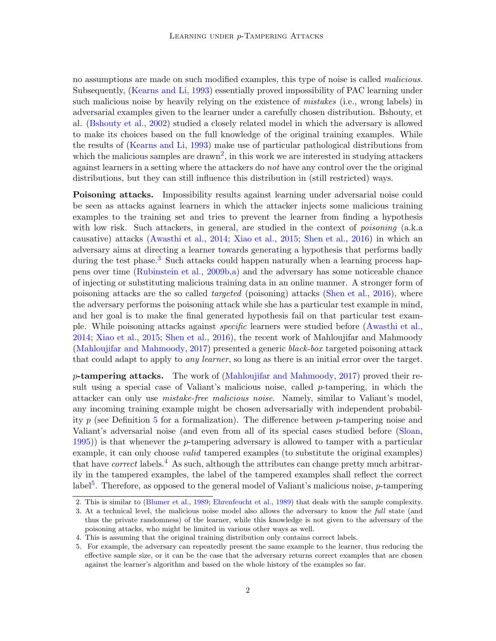no assumptions are made on such modified examples, this type of noise is called malicious. Subsequently, [\(Kearns and Li](#page-13-0), [1993](#page-13-0)) essentially proved impossibility of PAC learning under such malicious noise by heavily relying on the existence of *mistakes* (i.e., wrong labels) in adversarial examples given to the learner under a carefully chosen distribution. Bshouty, et al. [\(Bshouty et al.,](#page-12-1) [2002](#page-12-1)) studied a closely related model in which the adversary is allowed to make its choices based on the full knowledge of the original training examples. While the results of [\(Kearns and Li](#page-13-0), [1993\)](#page-13-0) make use of particular pathological distributions from which the malicious samples are drawn<sup>[2](#page-1-0)</sup>, in this work we are interested in studying attackers against learners in a setting where the attackers do not have any control over the the original distributions, but they can still influence this distribution in (still restricted) ways.

Poisoning attacks. Impossibility results against learning under adversarial noise could be seen as attacks against learners in which the attacker injects some malicious training examples to the training set and tries to prevent the learner from finding a hypothesis with low risk. Such attackers, in general, are studied in the context of *poisoning* (a.k.a causative) attacks [\(Awasthi et al.,](#page-12-2) [2014](#page-12-2); [Xiao et al.,](#page-14-2) [2015](#page-14-2); [Shen et al.,](#page-14-3) [2016](#page-14-3)) in which an adversary aims at directing a learner towards generating a hypothesis that performs badly during the test phase.<sup>[3](#page-1-1)</sup> Such attacks could happen naturally when a learning process happens over time [\(Rubinstein et al.](#page-14-4), [2009b](#page-14-4)[,a\)](#page-14-5) and the adversary has some noticeable chance of injecting or substituting malicious training data in an online manner. A stronger form of poisoning attacks are the so called targeted (poisoning) attacks [\(Shen et al.,](#page-14-3) [2016\)](#page-14-3), where the adversary performs the poisoning attack while she has a particular test example in mind, and her goal is to make the final generated hypothesis fail on that particular test example. While poisoning attacks against specific learners were studied before [\(Awasthi et al.,](#page-12-2) [2014;](#page-12-2) [Xiao et al.,](#page-14-2) [2015;](#page-14-2) [Shen et al.](#page-14-3), [2016](#page-14-3)), the recent work of Mahloujifar and Mahmoody [\(Mahloujifar and Mahmoody,](#page-13-1) [2017](#page-13-1)) presented a generic black-box targeted poisoning attack that could adapt to apply to *any learner*, so long as there is an initial error over the target.

 $p$ -tampering attacks. The work of [\(Mahloujifar and Mahmoody](#page-13-1), [2017\)](#page-13-1) proved their result using a special case of Valiant's malicious noise, called  $p$ -tampering, in which the attacker can only use mistake-free malicious noise. Namely, similar to Valiant's model, any incoming training example might be chosen adversarially with independent probability p (see Definition [5](#page-7-0) for a formalization). The difference between p-tampering noise and Valiant's adversarial noise (and even from all of its special cases studied before [\(Sloan,](#page-14-6)  $(1995)$  $(1995)$ ) is that whenever the *p*-tampering adversary is allowed to tamper with a particular example, it can only choose *valid* tampered examples (to substitute the original examples) that have *correct* labels.<sup>[4](#page-1-2)</sup> As such, although the attributes can change pretty much arbitrarily in the tampered examples, the label of the tampered examples shall reflect the correct label<sup>[5](#page-1-3)</sup>. Therefore, as opposed to the general model of Valiant's malicious noise,  $p$ -tampering

<sup>2.</sup> This is similar to [\(Blumer et al.](#page-12-3), [1989](#page-12-3); [Ehrenfeucht et al.](#page-13-2), [1989](#page-13-2)) that deals with the sample complexity.

<span id="page-1-1"></span><span id="page-1-0"></span><sup>3.</sup> At a technical level, the malicious noise model also allows the adversary to know the full state (and thus the private randomness) of the learner, while this knowledge is not given to the adversary of the poisoning attacks, who might be limited in various other ways as well.

<sup>4.</sup> This is assuming that the original training distribution only contains correct labels.

<span id="page-1-3"></span><span id="page-1-2"></span><sup>5.</sup> For example, the adversary can repeatedly present the same example to the learner, thus reducing the effective sample size, or it can be the case that the adversary returns correct examples that are chosen against the learner's algorithm and based on the whole history of the examples so far.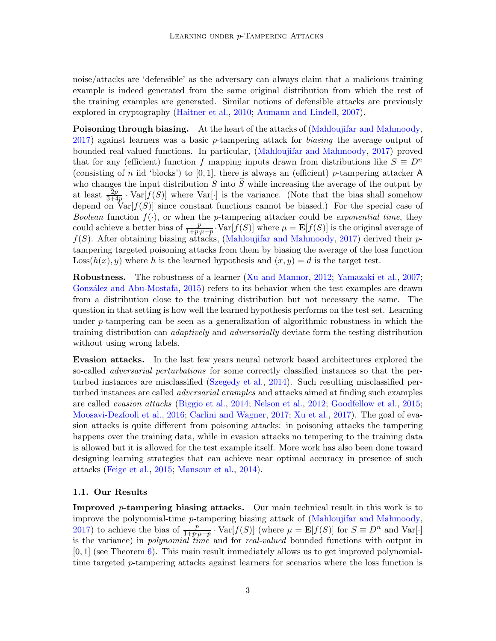noise/attacks are 'defensible' as the adversary can always claim that a malicious training example is indeed generated from the same original distribution from which the rest of the training examples are generated. Similar notions of defensible attacks are previously explored in cryptography [\(Haitner et al.,](#page-13-3) [2010](#page-13-3); [Aumann and Lindell,](#page-12-4) [2007](#page-12-4)).

Poisoning through biasing. At the heart of the attacks of [\(Mahloujifar and Mahmoody,](#page-13-1) [2017\)](#page-13-1) against learners was a basic p-tampering attack for biasing the average output of bounded real-valued functions. In particular, [\(Mahloujifar and Mahmoody](#page-13-1), [2017\)](#page-13-1) proved that for any (efficient) function f mapping inputs drawn from distributions like  $S \equiv D^n$ (consisting of n iid 'blocks') to  $[0, 1]$ , there is always an (efficient) p-tampering attacker A who changes the input distribution  $S$  into  $S$  while increasing the average of the output by at least  $\frac{2p}{3+4p} \cdot \text{Var}[f(S)]$  where  $\text{Var}[\cdot]$  is the variance. (Note that the bias shall somehow depend on  $Var[f(S)]$  since constant functions cannot be biased.) For the special case of *Boolean* function  $f(\cdot)$ , or when the *p*-tampering attacker could be *exponential time*, they could achieve a better bias of  $\frac{p}{1+p\cdot\mu-p}\cdot\text{Var}[f(S)]$  where  $\mu = \mathbf{E}[f(S)]$  is the original average of  $f(S)$ . After obtaining biasing attacks, [\(Mahloujifar and Mahmoody,](#page-13-1) [2017](#page-13-1)) derived their ptampering targeted poisoning attacks from them by biasing the average of the loss function  $\text{Loss}(h(x), y)$  where h is the learned hypothesis and  $(x, y) = d$  is the target test.

Robustness. The robustness of a learner [\(Xu and Mannor](#page-15-0), [2012;](#page-15-0) [Yamazaki et al.](#page-15-1), [2007;](#page-15-1) González and Abu-Mostafa, [2015\)](#page-13-4) refers to its behavior when the test examples are drawn from a distribution close to the training distribution but not necessary the same. The question in that setting is how well the learned hypothesis performs on the test set. Learning under  $p$ -tampering can be seen as a generalization of algorithmic robustness in which the training distribution can adaptively and adversarially deviate form the testing distribution without using wrong labels.

Evasion attacks. In the last few years neural network based architectures explored the so-called *adversarial perturbations* for some correctly classified instances so that the perturbed instances are misclassified [\(Szegedy et al.,](#page-14-7) [2014\)](#page-14-7). Such resulting misclassified perturbed instances are called adversarial examples and attacks aimed at finding such examples are called evasion attacks [\(Biggio et al.](#page-12-5), [2014](#page-12-5); [Nelson et al.,](#page-14-8) [2012](#page-14-8); [Goodfellow et al.](#page-13-5), [2015;](#page-13-5) [Moosavi-Dezfooli et al.,](#page-14-9) [2016;](#page-14-9) [Carlini and Wagner](#page-12-6), [2017;](#page-12-6) [Xu et al.](#page-15-2), [2017\)](#page-15-2). The goal of evasion attacks is quite different from poisoning attacks: in poisoning attacks the tampering happens over the training data, while in evasion attacks no tempering to the training data is allowed but it is allowed for the test example itself. More work has also been done toward designing learning strategies that can achieve near optimal accuracy in presence of such attacks [\(Feige et al.](#page-13-6), [2015;](#page-13-6) [Mansour et al.,](#page-13-7) [2014](#page-13-7)).

#### 1.1. Our Results

**Improved p-tampering biasing attacks.** Our main technical result in this work is to improve the polynomial-time p-tampering biasing attack of [\(Mahloujifar and Mahmoody,](#page-13-1) [2017\)](#page-13-1) to achieve the bias of  $\frac{p}{1+p\mu-p} \cdot \text{Var}[f(S)]$  (where  $\mu = \mathbf{E}[f(S)]$  for  $S \equiv D^n$  and  $\text{Var}[\cdot]$ is the variance) in *polynomial time* and for *real-valued* bounded functions with output in  $[0, 1]$  (see Theorem [6\)](#page-7-1). This main result immediately allows us to get improved polynomialtime targeted p-tampering attacks against learners for scenarios where the loss function is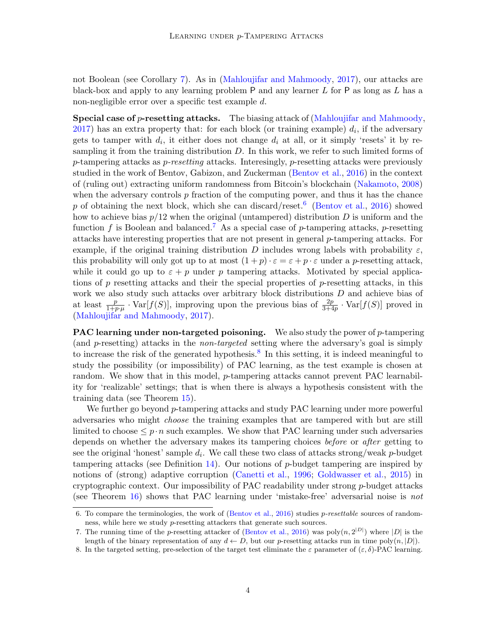not Boolean (see Corollary [7\)](#page-8-0). As in [\(Mahloujifar and Mahmoody,](#page-13-1) [2017](#page-13-1)), our attacks are black-box and apply to any learning problem  $P$  and any learner  $L$  for  $P$  as long as  $L$  has a non-negligible error over a specific test example d.

**Special case of p-resetting attacks.** The biasing attack of [\(Mahloujifar and Mahmoody](#page-13-1),  $2017$ ) has an extra property that: for each block (or training example)  $d_i$ , if the adversary gets to tamper with  $d_i$ , it either does not change  $d_i$  at all, or it simply 'resets' it by resampling it from the training distribution  $D$ . In this work, we refer to such limited forms of p-tampering attacks as p-resetting attacks. Interesingly, p-resetting attacks were previously studied in the work of Bentov, Gabizon, and Zuckerman [\(Bentov et al.,](#page-12-7) [2016\)](#page-12-7) in the context of (ruling out) extracting uniform randomness from Bitcoin's blockchain [\(Nakamoto,](#page-14-10) [2008\)](#page-14-10) when the adversary controls  $p$  fraction of the computing power, and thus it has the chance p of obtaining the next block, which she can discard/reset.<sup>[6](#page-3-0)</sup> [\(Bentov et al.,](#page-12-7) [2016\)](#page-12-7) showed how to achieve bias  $p/12$  when the original (untampered) distribution D is uniform and the function f is Boolean and balanced.<sup>[7](#page-3-1)</sup> As a special case of p-tampering attacks, p-resetting attacks have interesting properties that are not present in general p-tampering attacks. For example, if the original training distribution D includes wrong labels with probability  $\varepsilon$ , this probability will only got up to at most  $(1+p)\cdot \varepsilon = \varepsilon + p\cdot \varepsilon$  under a p-resetting attack, while it could go up to  $\varepsilon + p$  under p tampering attacks. Motivated by special applications of  $p$  resetting attacks and their the special properties of  $p$ -resetting attacks, in this work we also study such attacks over arbitrary block distributions D and achieve bias of at least  $\frac{p}{1+p\cdot\mu} \cdot \text{Var}[f(S)]$ , improving upon the previous bias of  $\frac{2p}{3+4p} \cdot \text{Var}[f(S)]$  proved in [\(Mahloujifar and Mahmoody,](#page-13-1) [2017](#page-13-1)).

**PAC learning under non-targeted poisoning.** We also study the power of  $p$ -tampering (and p-resetting) attacks in the non-targeted setting where the adversary's goal is simply to increase the risk of the generated hypothesis.<sup>[8](#page-3-2)</sup> In this setting, it is indeed meaningful to study the possibility (or impossibility) of PAC learning, as the test example is chosen at random. We show that in this model, *p*-tampering attacks cannot prevent PAC learnability for 'realizable' settings; that is when there is always a hypothesis consistent with the training data (see Theorem [15\)](#page-11-0).

We further go beyond p-tampering attacks and study PAC learning under more powerful adversaries who might choose the training examples that are tampered with but are still limited to choose  $\leq p \cdot n$  such examples. We show that PAC learning under such adversaries depends on whether the adversary makes its tampering choices *before* or *after* getting to see the original 'honest' sample  $d_i$ . We call these two class of attacks strong/weak p-budget tampering attacks (see Definition  $14$ ). Our notions of  $p$ -budget tampering are inspired by notions of (strong) adaptive corruption [\(Canetti et al.,](#page-12-8) [1996](#page-12-8); [Goldwasser et al.,](#page-13-8) [2015\)](#page-13-8) in cryptographic context. Our impossibility of PAC readability under strong  $p$ -budget attacks (see Theorem [16\)](#page-11-2) shows that PAC learning under 'mistake-free' adversarial noise is not

<span id="page-3-0"></span><sup>6.</sup> To compare the terminologies, the work of [\(Bentov et al.,](#page-12-7) [2016](#page-12-7)) studies p-resettable sources of randomness, while here we study p-resetting attackers that generate such sources.

<span id="page-3-1"></span><sup>7.</sup> The running time of the p-resetting attacker of [\(Bentov et al.](#page-12-7), [2016\)](#page-12-7) was  $\text{poly}(n, 2^{|D|})$  where  $|D|$  is the length of the binary representation of any  $d \leftarrow D$ , but our p-resetting attacks run in time poly $(n, |D|)$ .

<span id="page-3-2"></span><sup>8.</sup> In the targeted setting, pre-selection of the target test eliminate the  $\varepsilon$  parameter of  $(\varepsilon, \delta)$ -PAC learning.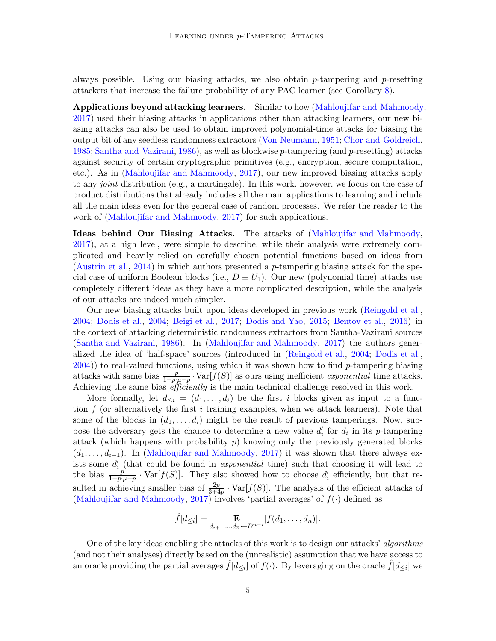always possible. Using our biasing attacks, we also obtain  $p$ -tampering and  $p$ -resetting attackers that increase the failure probability of any PAC learner (see Corollary [8\)](#page-8-1).

Applications beyond attacking learners. Similar to how [\(Mahloujifar and Mahmoody](#page-13-1), [2017\)](#page-13-1) used their biasing attacks in applications other than attacking learners, our new biasing attacks can also be used to obtain improved polynomial-time attacks for biasing the output bit of any seedless randomness extractors [\(Von Neumann,](#page-14-11) [1951](#page-14-11); [Chor and Goldreich,](#page-13-9) [1985;](#page-13-9) [Santha and Vazirani,](#page-14-12) [1986](#page-14-12)), as well as blockwise p-tampering (and p-resetting) attacks against security of certain cryptographic primitives (e.g., encryption, secure computation, etc.). As in [\(Mahloujifar and Mahmoody,](#page-13-1) [2017\)](#page-13-1), our new improved biasing attacks apply to any joint distribution (e.g., a martingale). In this work, however, we focus on the case of product distributions that already includes all the main applications to learning and include all the main ideas even for the general case of random processes. We refer the reader to the work of [\(Mahloujifar and Mahmoody,](#page-13-1) [2017](#page-13-1)) for such applications.

Ideas behind Our Biasing Attacks. The attacks of [\(Mahloujifar and Mahmoody,](#page-13-1) [2017\)](#page-13-1), at a high level, were simple to describe, while their analysis were extremely complicated and heavily relied on carefully chosen potential functions based on ideas from [\(Austrin et al.](#page-12-9), [2014\)](#page-12-9) in which authors presented a p-tampering biasing attack for the special case of uniform Boolean blocks (i.e.,  $D \equiv U_1$ ). Our new (polynomial time) attacks use completely different ideas as they have a more complicated description, while the analysis of our attacks are indeed much simpler.

Our new biasing attacks built upon ideas developed in previous work [\(Reingold et al.,](#page-14-13) [2004;](#page-14-13) [Dodis et al.](#page-13-10), [2004](#page-13-10); [Beigi et al.](#page-12-10), [2017](#page-12-10); [Dodis and Yao](#page-13-11), [2015](#page-13-11); [Bentov et al.,](#page-12-7) [2016\)](#page-12-7) in the context of attacking deterministic randomness extractors from Santha-Vazirani sources [\(Santha and Vazirani,](#page-14-12) [1986\)](#page-14-12). In [\(Mahloujifar and Mahmoody](#page-13-1), [2017](#page-13-1)) the authors generalized the idea of 'half-space' sources (introduced in [\(Reingold et al.,](#page-14-13) [2004;](#page-14-13) [Dodis et al.,](#page-13-10)  $2004$ ) to real-valued functions, using which it was shown how to find p-tampering biasing attacks with same bias  $\frac{p}{1+p\cdot\mu-p}\cdot\text{Var}[f(S)]$  as ours using inefficient *exponential* time attacks. Achieving the same bias *efficiently* is the main technical challenge resolved in this work.

More formally, let  $d_{\leq i} = (d_1, \ldots, d_i)$  be the first i blocks given as input to a function  $f$  (or alternatively the first i training examples, when we attack learners). Note that some of the blocks in  $(d_1, \ldots, d_i)$  might be the result of previous tamperings. Now, suppose the adversary gets the chance to determine a new value  $d_i'$  for  $d_i$  in its p-tampering attack (which happens with probability  $p$ ) knowing only the previously generated blocks  $(d_1, \ldots, d_{i-1})$ . In [\(Mahloujifar and Mahmoody](#page-13-1), [2017](#page-13-1)) it was shown that there always exists some  $d_i'$  (that could be found in *exponential* time) such that choosing it will lead to the bias  $\frac{p}{1+p\cdot\mu-p}$ . Var[ $f(S)$ ]. They also showed how to choose  $d_i'$  efficiently, but that resulted in achieving smaller bias of  $\frac{2p}{3+4p} \cdot \text{Var}[f(S)]$ . The analysis of the efficient attacks of [\(Mahloujifar and Mahmoody,](#page-13-1) [2017](#page-13-1)) involves 'partial averages' of  $f(\cdot)$  defined as

$$
\hat{f}[d_{\leq i}] = \mathop{\bf E}_{d_{i+1},...,d_n \leftarrow D^{n-i}} [f(d_1,...,d_n)].
$$

One of the key ideas enabling the attacks of this work is to design our attacks' algorithms (and not their analyses) directly based on the (unrealistic) assumption that we have access to an oracle providing the partial averages  $\hat{f}[d_{\leq i}]$  of  $f(\cdot)$ . By leveraging on the oracle  $\hat{f}[d_{\leq i}]$  we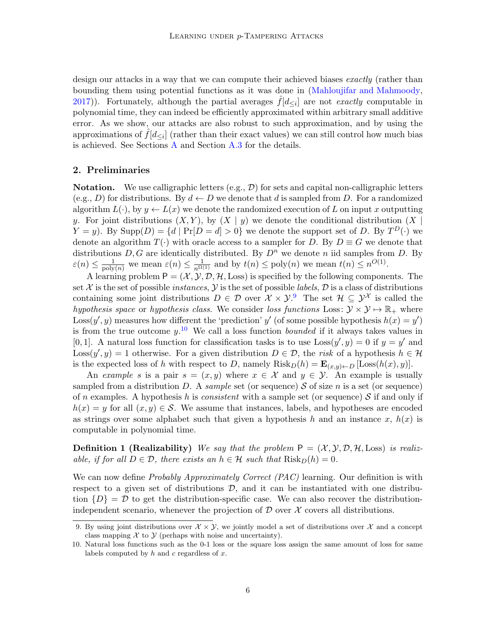design our attacks in a way that we can compute their achieved biases exactly (rather than bounding them using potential functions as it was done in [\(Mahloujifar and Mahmoody,](#page-13-1) [2017\)](#page-13-1)). Fortunately, although the partial averages  $\hat{f}[d_{\leq i}]$  are not *exactly* computable in polynomial time, they can indeed be efficiently approximated within arbitrary small additive error. As we show, our attacks are also robust to such approximation, and by using the approximations of  $\hat{f}[d_{\leq i}]$  (rather than their exact values) we can still control how much bias is achieved. See Sections [A](#page-15-3) and Section [A.3](#page-18-0) for the details.

### 2. Preliminaries

**Notation.** We use calligraphic letters  $(e.g., \mathcal{D})$  for sets and capital non-calligraphic letters (e.g., D) for distributions. By  $d \leftarrow D$  we denote that d is sampled from D. For a randomized algorithm  $L(\cdot)$ , by  $y \leftarrow L(x)$  we denote the randomized execution of L on input x outputting y. For joint distributions  $(X, Y)$ , by  $(X | y)$  we denote the conditional distribution  $(X | y)$  $Y = y$ ). By Supp $(D) = \{d \mid Pr[D = d] > 0\}$  we denote the support set of D. By  $T^D(\cdot)$  we denote an algorithm  $T(\cdot)$  with oracle access to a sampler for D. By  $D \equiv G$  we denote that distributions  $D, G$  are identically distributed. By  $D^n$  we denote n iid samples from D. By  $\varepsilon(n) \leq \frac{1}{\text{poly}(n)}$  we mean  $\varepsilon(n) \leq \frac{1}{n^{\Omega(1)}}$  and by  $t(n) \leq \text{poly}(n)$  we mean  $t(n) \leq n^{O(1)}$ .

A learning problem  $P = (\mathcal{X}, \mathcal{Y}, \mathcal{D}, \mathcal{H}, \text{Loss})$  is specified by the following components. The set X is the set of possible *instances*,  $\mathcal Y$  is the set of possible *labels*,  $\mathcal D$  is a class of distributions containing some joint distributions  $D \in \mathcal{D}$  over  $\mathcal{X} \times \mathcal{Y}$ . The set  $\mathcal{H} \subseteq \mathcal{Y}^{\mathcal{X}}$  is called the hypothesis space or hypothesis class. We consider loss functions Loss:  $\mathcal{Y} \times \mathcal{Y} \mapsto \mathbb{R}_+$  where Loss $(y', y)$  measures how different the 'prediction' y' (of some possible hypothesis  $h(x) = y'$ ) is from the true outcome  $y$ .<sup>[10](#page-5-1)</sup> We call a loss function *bounded* if it always takes values in [0, 1]. A natural loss function for classification tasks is to use  $\text{Loss}(y', y) = 0$  if  $y = y'$  and Loss $(y', y) = 1$  otherwise. For a given distribution  $D \in \mathcal{D}$ , the risk of a hypothesis  $h \in \mathcal{H}$ is the expected loss of h with respect to D, namely  $Risk_D(h) = \mathbf{E}_{(x,y)\leftarrow D} [\text{Loss}(h(x), y)].$ 

An example s is a pair  $s = (x, y)$  where  $x \in \mathcal{X}$  and  $y \in \mathcal{Y}$ . An example is usually sampled from a distribution D. A sample set (or sequence) S of size n is a set (or sequence) of n examples. A hypothesis h is consistent with a sample set (or sequence) S if and only if  $h(x) = y$  for all  $(x, y) \in S$ . We assume that instances, labels, and hypotheses are encoded as strings over some alphabet such that given a hypothesis h and an instance x,  $h(x)$  is computable in polynomial time.

**Definition 1 (Realizability)** We say that the problem  $P = (\mathcal{X}, \mathcal{Y}, \mathcal{D}, \mathcal{H}, \text{Loss})$  is realizable, if for all  $D \in \mathcal{D}$ , there exists an  $h \in \mathcal{H}$  such that  $Risk_D(h) = 0$ .

We can now define *Probably Approximately Correct (PAC)* learning. Our definition is with respect to a given set of distributions  $\mathcal{D}$ , and it can be instantiated with one distribution  $\{D\} = \mathcal{D}$  to get the distribution-specific case. We can also recover the distributionindependent scenario, whenever the projection of  $\mathcal D$  over  $\mathcal X$  covers all distributions.

<span id="page-5-2"></span><span id="page-5-0"></span><sup>9.</sup> By using joint distributions over  $\mathcal{X} \times \mathcal{Y}$ , we jointly model a set of distributions over  $\mathcal{X}$  and a concept class mapping  $\mathcal X$  to  $\mathcal Y$  (perhaps with noise and uncertainty).

<span id="page-5-1"></span><sup>10.</sup> Natural loss functions such as the 0-1 loss or the square loss assign the same amount of loss for same labels computed by  $h$  and  $c$  regardless of  $x$ .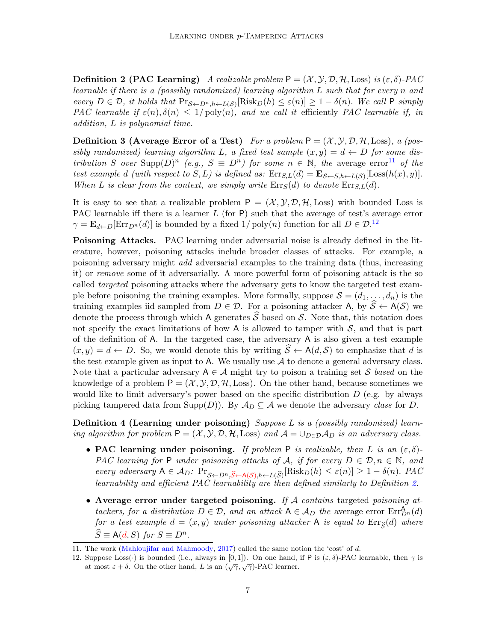**Definition 2 (PAC Learning)** A realizable problem  $P = (\mathcal{X}, \mathcal{Y}, \mathcal{D}, \mathcal{H}, \text{Loss})$  is  $(\varepsilon, \delta)$ -PAC learnable if there is a (possibly randomized) learning algorithm L such that for every n and every  $D \in \mathcal{D}$ , it holds that  $Pr_{\mathcal{S} \leftarrow D^n, h \leftarrow L(\mathcal{S})}[\text{Risk}_D(h) \leq \varepsilon(n)] \geq 1 - \delta(n)$ . We call P simply PAC learnable if  $\varepsilon(n), \delta(n) \leq 1/\text{poly}(n)$ , and we call it efficiently PAC learnable if, in addition, L is polynomial time.

**Definition 3 (Average Error of a Test)** For a problem  $P = (\mathcal{X}, \mathcal{Y}, \mathcal{D}, \mathcal{H}, \text{Loss})$ , a (possibly randomized) learning algorithm L, a fixed test sample  $(x, y) = d \leftarrow D$  for some distribution S over  $\text{Supp}(D)^n$  (e.g.,  $S \equiv D^n$ ) for some  $n \in \mathbb{N}$ , the average error<sup>[11](#page-6-0)</sup> of the test example d (with respect to  $S, L$ ) is defined as:  $\text{Err}_{S,L}(d) = \mathbf{E}_{S \leftarrow S, h \leftarrow L(S)}[\text{Loss}(h(x), y)].$ When L is clear from the context, we simply write  $\text{Err}_S(d)$  to denote  $\text{Err}_{S,L}(d)$ .

It is easy to see that a realizable problem  $P = (\mathcal{X}, \mathcal{Y}, \mathcal{D}, \mathcal{H}, L \text{oss})$  with bounded Loss is PAC learnable iff there is a learner  $L$  (for P) such that the average of test's average error  $\gamma = \mathbf{E}_{d \leftarrow D}[\text{Err}_{D^n}(d)]$  is bounded by a fixed  $1/\text{poly}(n)$  function for all  $D \in \mathcal{D}^{12}$  $D \in \mathcal{D}^{12}$  $D \in \mathcal{D}^{12}$ 

Poisoning Attacks. PAC learning under adversarial noise is already defined in the literature, however, poisoning attacks include broader classes of attacks. For example, a poisoning adversary might add adversarial examples to the training data (thus, increasing it) or remove some of it adversarially. A more powerful form of poisoning attack is the so called targeted poisoning attacks where the adversary gets to know the targeted test example before poisoning the training examples. More formally, suppose  $S = (d_1, \ldots, d_n)$  is the training examples iid sampled from  $D \in \mathcal{D}$ . For a poisoning attacker A, by  $\mathcal{S} \leftarrow A(\mathcal{S})$  we denote the process through which A generates  $\widehat{S}$  based on S. Note that, this notation does not specify the exact limitations of how A is allowed to tamper with  $S$ , and that is part of the definition of A. In the targeted case, the adversary A is also given a test example  $(x, y) = d \leftarrow D$ . So, we would denote this by writing  $\hat{S} \leftarrow A(d, S)$  to emphasize that d is the test example given as input to A. We usually use  $A$  to denote a general adversary class. Note that a particular adversary  $A \in \mathcal{A}$  might try to poison a training set S based on the knowledge of a problem  $P = (\mathcal{X}, \mathcal{Y}, \mathcal{D}, \mathcal{H}, \text{Loss})$ . On the other hand, because sometimes we would like to limit adversary's power based on the specific distribution  $D$  (e.g. by always picking tampered data from Supp $(D)$ ). By  $\mathcal{A}_D \subseteq \mathcal{A}$  we denote the adversary class for D.

Definition 4 (Learning under poisoning) Suppose  $L$  is a (possibly randomized) learning algorithm for problem  $P = (\mathcal{X}, \mathcal{Y}, \mathcal{D}, \mathcal{H}, \text{Loss})$  and  $\mathcal{A} = \bigcup_{D \in \mathcal{D}} \mathcal{A}_D$  is an adversary class.

- PAC learning under poisoning. If problem P is realizable, then L is an  $(\varepsilon, \delta)$ -PAC learning for P under poisoning attacks of A, if for every  $D \in \mathcal{D}, n \in \mathbb{N}$ , and every adversary  $A \in \mathcal{A}_D$ :  $Pr_{\mathcal{S} \leftarrow D^n, \widehat{\mathcal{S}} \leftarrow A(\mathcal{S}), h \leftarrow L(\widehat{\mathcal{S}})}[Risk_D(h) \leq \varepsilon(n)] \geq 1 - \delta(n)$ . PAC learnability and efficient PAC learnability are then defined similarly to Definition [2.](#page-5-2)
- Average error under targeted poisoning. If A contains targeted poisoning attackers, for a distribution  $D \in \mathcal{D}$ , and an attack  $A \in \mathcal{A}_D$  the average error  $\text{Err}_{D^n}^{\mathbf{A}}(d)$ for a test example  $d = (x, y)$  under poisoning attacker A is equal to  $\text{Err}_{\widehat{S}}(d)$  where  $\widehat{S} \equiv \mathsf{A}(d, S)$  for  $S \equiv D^n$ .

<sup>11.</sup> The work [\(Mahloujifar and Mahmoody](#page-13-1), [2017\)](#page-13-1) called the same notion the 'cost' of d.

<span id="page-6-1"></span><span id="page-6-0"></span><sup>12.</sup> Suppose Loss(·) is bounded (i.e., always in [0,1]). On one hand, if P is  $(\varepsilon, \delta)$ -PAC learnable, then  $\gamma$  is at most  $\varepsilon + \delta$ . On the other hand, L is an  $(\sqrt{\gamma}, \sqrt{\gamma})$ -PAC learner.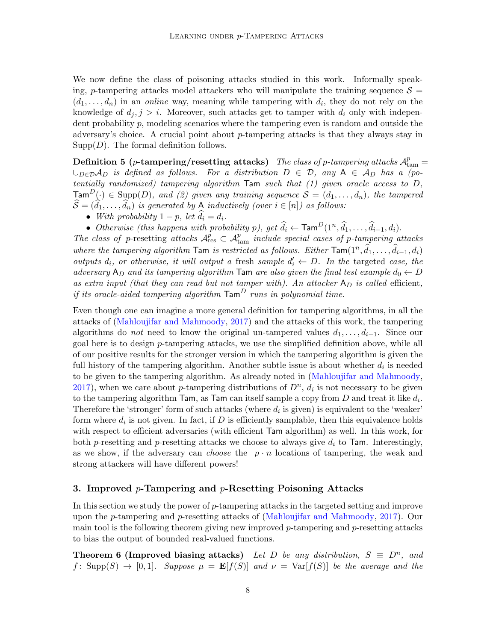We now define the class of poisoning attacks studied in this work. Informally speaking, p-tampering attacks model attackers who will manipulate the training sequence  $\mathcal{S} =$  $(d_1, \ldots, d_n)$  in an *online* way, meaning while tampering with  $d_i$ , they do not rely on the knowledge of  $d_j$ ,  $j > i$ . Moreover, such attacks get to tamper with  $d_i$  only with independent probability p, modeling scenarios where the tampering even is random and outside the adversary's choice. A crucial point about p-tampering attacks is that they always stay in  $Supp(D)$ . The formal definition follows.

<span id="page-7-0"></span>Definition 5 (p-tampering/resetting attacks) The class of p-tampering attacks  $\mathcal{A}^p_{\text{tam}} =$  $\cup_{D\in\mathcal{D}}\mathcal{A}_D$  is defined as follows. For a distribution  $D \in \mathcal{D}$ , any  $A \in \mathcal{A}_D$  has a (potentially randomized) tampering algorithm Tam such that (1) given oracle access to D,  $\textsf{Tam}^D(\cdot) \in \text{Supp}(D)$ , and (2) given any training sequence  $\mathcal{S} = (d_1, \ldots, d_n)$ , the tampered  $\widehat{S} = (\widehat{d}_1, \ldots, \widehat{d}_n)$  is generated by A inductively (over  $i \in [n]$ ) as follows:

- With probability  $1 p$ , let  $d_i = d_i$ .
- Otherwise (this happens with probability p), get  $\widehat{d}_i \leftarrow \text{Tam}^D(1^n, \widehat{d}_1, \ldots, \widehat{d}_{i-1}, d_i)$ .

The class of p-resetting attacks  $A_{\text{res}}^p \subset A_{\text{tam}}^p$  include special cases of p-tampering attacks where the tampering algorithm  $\textsf{Tam}$  is restricted as follows. Either  $\textsf{Tam}(1^n, \hat{d}_1, \ldots, \hat{d}_{i-1}, d_i)$ outputs  $d_i$ , or otherwise, it will output a fresh sample  $d'_i \leftarrow D$ . In the targeted case, the adversary  $A_D$  and its tampering algorithm Tam are also given the final test example  $d_0 \leftarrow D$ as extra input (that they can read but not tamper with). An attacker  $A_D$  is called efficient, if its oracle-aided tampering algorithm  $\text{Tam}^D$  runs in polynomial time.

Even though one can imagine a more general definition for tampering algorithms, in all the attacks of [\(Mahloujifar and Mahmoody](#page-13-1), [2017\)](#page-13-1) and the attacks of this work, the tampering algorithms do *not* need to know the original un-tampered values  $d_1, \ldots, d_{i-1}$ . Since our goal here is to design  $p$ -tampering attacks, we use the simplified definition above, while all of our positive results for the stronger version in which the tampering algorithm is given the full history of the tampering algorithm. Another subtle issue is about whether  $d_i$  is needed to be given to the tampering algorithm. As already noted in [\(Mahloujifar and Mahmoody,](#page-13-1) [2017\)](#page-13-1), when we care about p-tampering distributions of  $D<sup>n</sup>$ ,  $d<sub>i</sub>$  is not necessary to be given to the tampering algorithm  $\textsf{Tam}$ , as  $\textsf{Tam}$  can itself sample a copy from D and treat it like  $d_i$ . Therefore the 'stronger' form of such attacks (where  $d_i$  is given) is equivalent to the 'weaker' form where  $d_i$  is not given. In fact, if D is efficiently samplable, then this equivalence holds with respect to efficient adversaries (with efficient Tam algorithm) as well. In this work, for both p-resetting and p-resetting attacks we choose to always give  $d_i$  to Tam. Interestingly, as we show, if the adversary can *choose* the  $p \cdot n$  locations of tampering, the weak and strong attackers will have different powers!

#### 3. Improved  $p$ -Tampering and  $p$ -Resetting Poisoning Attacks

In this section we study the power of p-tampering attacks in the targeted setting and improve upon the p-tampering and p-resetting attacks of [\(Mahloujifar and Mahmoody](#page-13-1), [2017\)](#page-13-1). Our main tool is the following theorem giving new improved  $p$ -tampering and  $p$ -resetting attacks to bias the output of bounded real-valued functions.

<span id="page-7-1"></span>**Theorem 6 (Improved biasing attacks)** Let D be any distribution,  $S \equiv D^n$ , and f: Supp(S)  $\rightarrow$  [0,1]. Suppose  $\mu = \mathbf{E}[f(S)]$  and  $\nu = \text{Var}[f(S)]$  be the average and the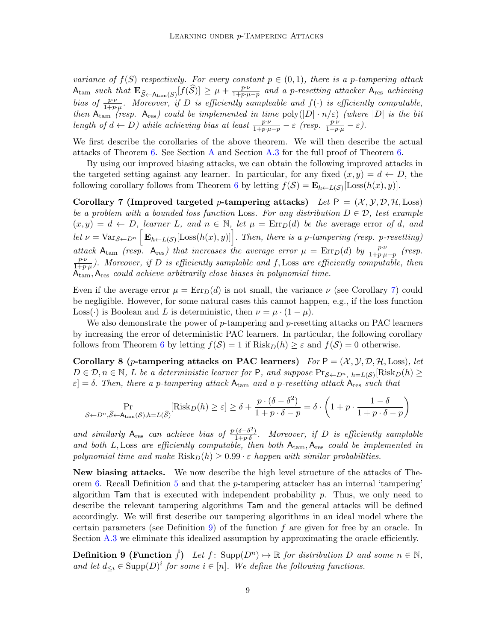variance of  $f(S)$  respectively. For every constant  $p \in (0,1)$ , there is a p-tampering attack  $A_{\text{tam}} \text{ such that } \mathbf{E}_{\widehat{S} \leftarrow A_{\text{tam}}(S)}[f(\widehat{S})] \geq \mu + \frac{p \cdot \nu}{1 + p \cdot \mu}$  $\frac{p\cdot\nu}{1+p\cdot\mu-p}$  and a p-resetting attacker  $A_{\text{res}}$  achieving bias of  $\frac{p\cdot v}{1+p\cdot \mu}$ . Moreover, if D is efficiently sampleable and  $f(\cdot)$  is efficiently computable, then  $A_{\text{tam}}$  (resp.  $A_{\text{res}}$ ) could be implemented in time  $\text{poly}(|D| \cdot n/\varepsilon)$  (where  $|D|$  is the bit length of  $d \leftarrow D$ ) while achieving bias at least  $\frac{p \cdot \nu}{1 + p \cdot \mu - p} - \varepsilon$  (resp.  $\frac{p \cdot \nu}{1 + p \cdot \mu} - \varepsilon$ ).

We first describe the corollaries of the above theorem. We will then describe the actual attacks of Theorem [6.](#page-7-1) See Section [A](#page-15-3) and Section [A.3](#page-18-0) for the full proof of Theorem [6.](#page-7-1)

<span id="page-8-0"></span>By using our improved biasing attacks, we can obtain the following improved attacks in the targeted setting against any learner. In particular, for any fixed  $(x, y) = d \leftarrow D$ , the following corollary follows from Theorem [6](#page-7-1) by letting  $f(\mathcal{S}) = \mathbf{E}_{h \leftarrow L(\mathcal{S})}[\text{Loss}(h(x), y)].$ 

Corollary 7 (Improved targeted p-tampering attacks) Let  $P = (\mathcal{X}, \mathcal{Y}, \mathcal{D}, \mathcal{H}, \text{Loss})$ be a problem with a bounded loss function Loss. For any distribution  $D \in \mathcal{D}$ , test example  $(x, y) = d \leftarrow D$ , learner L, and  $n \in \mathbb{N}$ , let  $\mu = \text{Err}_D(d)$  be the average error of d, and let  $\nu = \text{Var}_{\mathcal{S} \leftarrow D^n} \left[ \mathbf{E}_{h \leftarrow L(\mathcal{S})} [\text{Loss}(h(x), y)] \right]$ . Then, there is a p-tampering (resp. p-resetting) attack A<sub>tam</sub> (resp. A<sub>res</sub>) that increases the average error  $\mu = \text{Err}_D(d)$  by  $\frac{p \cdot \nu}{1 + p \cdot \mu - p}$  (resp.  $p \cdot \nu$  $\frac{p \cdot \nu}{1 + p \cdot \mu}$ ). Moreover, if D is efficiently samplable and f, Loss are efficiently computable, then  $A<sub>tam</sub>, A<sub>res</sub> could achieve arbitrarily close biases in polynomial time.$ 

Even if the average error  $\mu = \text{Err}_D(d)$  is not small, the variance  $\nu$  (see Corollary [7\)](#page-8-0) could be negligible. However, for some natural cases this cannot happen, e.g., if the loss function Loss(·) is Boolean and L is deterministic, then  $\nu = \mu \cdot (1 - \mu)$ .

We also demonstrate the power of  $p$ -tampering and  $p$ -resetting attacks on PAC learners by increasing the error of deterministic PAC learners. In particular, the following corollary follows from Theorem [6](#page-7-1) by letting  $f(\mathcal{S}) = 1$  if  $Risk_D(h) \geq \varepsilon$  and  $f(\mathcal{S}) = 0$  otherwise.

Corollary 8 (p-tampering attacks on PAC learners)  $For P = (\mathcal{X}, \mathcal{Y}, \mathcal{D}, \mathcal{H}, \text{Loss})$ , let  $D \in \mathcal{D}, n \in \mathbb{N}, L$  be a deterministic learner for  $P$ , and suppose  $Pr_{\mathcal{S} \leftarrow D^{n}, h = L(\mathcal{S})}[Risk_D(h)]$  $\varepsilon$  = δ. Then, there a p-tampering attack  $A_{\text{tam}}$  and a p-resetting attack  $A_{\text{res}}$  such that

<span id="page-8-1"></span>
$$
\Pr_{\mathcal{S}\leftarrow D^{n},\widehat{\mathcal{S}}\leftarrow \mathrm{Atam}(\mathcal{S}),h=L(\widehat{\mathcal{S}})}[\mathrm{Risk}_{D}(h)\geq \varepsilon]\geq \delta+\frac{p\cdot(\delta-\delta^{2})}{1+p\cdot\delta-p}=\delta\cdot\left(1+p\cdot\frac{1-\delta}{1+p\cdot\delta-p}\right)
$$

and similarly A<sub>res</sub> can achieve bias of  $\frac{p \cdot (\delta - \delta^2)}{1 + p \cdot \delta}$  $\frac{(0 - b)}{1 + p \cdot \delta}$ . Moreover, if D is efficiently samplable and both L, Loss are efficiently computable, then both  $A_{\text{tam}}$ ,  $A_{\text{res}}$  could be implemented in polynomial time and make  $Risk_D(h) \geq 0.99 \cdot \varepsilon$  happen with similar probabilities.

New biasing attacks. We now describe the high level structure of the attacks of The-orem [6.](#page-7-1) Recall Definition [5](#page-7-0) and that the  $p$ -tampering attacker has an internal 'tampering' algorithm  $\textsf{Tam}$  that is executed with independent probability p. Thus, we only need to describe the relevant tampering algorithms Tam and the general attacks will be defined accordingly. We will first describe our tampering algorithms in an ideal model where the certain parameters (see Definition [9\)](#page-8-2) of the function  $f$  are given for free by an oracle. In Section [A.3](#page-18-0) we eliminate this idealized assumption by approximating the oracle efficiently.

<span id="page-8-2"></span>**Definition 9 (Function**  $\hat{f}$ ) Let  $f$ : Supp $(D^n) \mapsto \mathbb{R}$  for distribution D and some  $n \in \mathbb{N}$ , and let  $d_{\leq i} \in \text{Supp}(D)^i$  for some  $i \in [n]$ . We define the following functions.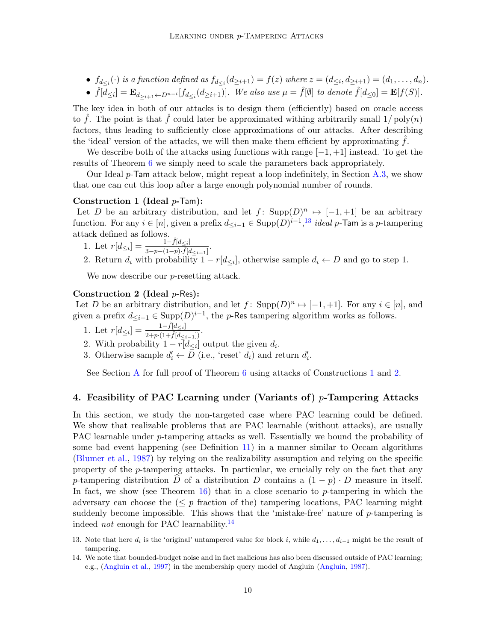- $f_{d_{\leq i}}(\cdot)$  is a function defined as  $f_{d_{\leq i}}(d_{\geq i+1}) = f(z)$  where  $z = (d_{\leq i}, d_{\geq i+1}) = (d_1, \ldots, d_n)$ .
- $\hat{f}[d_{\leq i}] = \mathbf{E}_{d_{\geq i+1} \leftarrow D^{n-i}}[f_{d_{\leq i}}(d_{\geq i+1})]$ . We also use  $\mu = \hat{f}[\emptyset]$  to denote  $\hat{f}[d_{\leq 0}] = \mathbf{E}[f(S)]$ .

The key idea in both of our attacks is to design them (efficiently) based on oracle access to  $\hat{f}$ . The point is that  $\hat{f}$  could later be approximated withing arbitrarily small  $1/\text{poly}(n)$ factors, thus leading to sufficiently close approximations of our attacks. After describing the 'ideal' version of the attacks, we will then make them efficient by approximating  $f$ .

We describe both of the attacks using functions with range  $[-1, +1]$  instead. To get the results of Theorem [6](#page-7-1) we simply need to scale the parameters back appropriately.

Our Ideal  $p$ -Tam attack below, might repeat a loop indefinitely, in Section [A.3,](#page-18-0) we show that one can cut this loop after a large enough polynomial number of rounds.

#### Construction 1 (Ideal  $p$ -Tam):

Let D be an arbitrary distribution, and let  $f: Supp(D)^n \mapsto [-1,+1]$  be an arbitrary function. For any  $i \in [n]$ , given a prefix  $d_{\leq i-1} \in \text{Supp}(D)^{i-1}$ ,<sup>[13](#page-9-0)</sup> ideal p-Tam is a p-tampering attack defined as follows.

- <span id="page-9-1"></span>1. Let  $r[d_{\leq i}] = \frac{1-\hat{f}[d_{\leq i}]}{3-n-(1-n)\cdot\hat{f}[d_{\leq i}]}$  $\frac{1 - f [u \leq i]}{3 - p - (1 - p) \cdot \hat{f} [d \leq i - 1]}$
- 2. Return  $d_i$  with probability  $1 r[d_{\leq i}]$ , otherwise sample  $d_i \leftarrow D$  and go to step 1.

<span id="page-9-2"></span>We now describe our *p*-resetting attack.

#### Construction 2 (Ideal  $p$ -Res):

Let D be an arbitrary distribution, and let  $f: Supp(D)^n \mapsto [-1,+1]$ . For any  $i \in [n]$ , and given a prefix  $d_{\leq i-1} \in \text{Supp}(D)^{i-1}$ , the p-Res tampering algorithm works as follows.

- 1. Let  $r[d_{\leq i}] = \frac{1-\hat{f}[d_{\leq i}]}{2+p\cdot(1+\hat{f}[d_{\leq i-1}])}$ .
- 2. With probability  $1 r[d_{\leq i}]$  output the given  $d_i$ .
- 3. Otherwise sample  $d'_i \leftarrow D$  (i.e., 'reset'  $d_i$ ) and return  $d'_i$ .

See Section [A](#page-15-3) for full proof of Theorem [6](#page-7-1) using attacks of Constructions [1](#page-9-1) and [2.](#page-9-2)

## 4. Feasibility of PAC Learning under (Variants of)  $p$ -Tampering Attacks

In this section, we study the non-targeted case where PAC learning could be defined. We show that realizable problems that are PAC learnable (without attacks), are usually PAC learnable under p-tampering attacks as well. Essentially we bound the probability of some bad event happening (see Definition [11\)](#page-10-0) in a manner similar to Occam algorithms [\(Blumer et al.](#page-12-11), [1987\)](#page-12-11) by relying on the realizability assumption and relying on the specific property of the p-tampering attacks. In particular, we crucially rely on the fact that any p-tampering distribution  $\tilde{D}$  of a distribution D contains a  $(1 - p) \cdot D$  measure in itself. In fact, we show (see Theorem [16\)](#page-11-2) that in a close scenario to p-tampering in which the adversary can choose the  $(\leq p$  fraction of the) tampering locations, PAC learning might suddenly become impossible. This shows that the 'mistake-free' nature of p-tampering is indeed *not* enough for PAC learnability.<sup>[14](#page-9-3)</sup>

<span id="page-9-0"></span><sup>13.</sup> Note that here  $d_i$  is the 'original' untampered value for block i, while  $d_1, \ldots, d_{i-1}$  might be the result of tampering.

<span id="page-9-3"></span><sup>14.</sup> We note that bounded-budget noise and in fact malicious has also been discussed outside of PAC learning; e.g., [\(Angluin et al.,](#page-12-12) [1997\)](#page-12-12) in the membership query model of Angluin [\(Angluin,](#page-12-13) [1987\)](#page-12-13).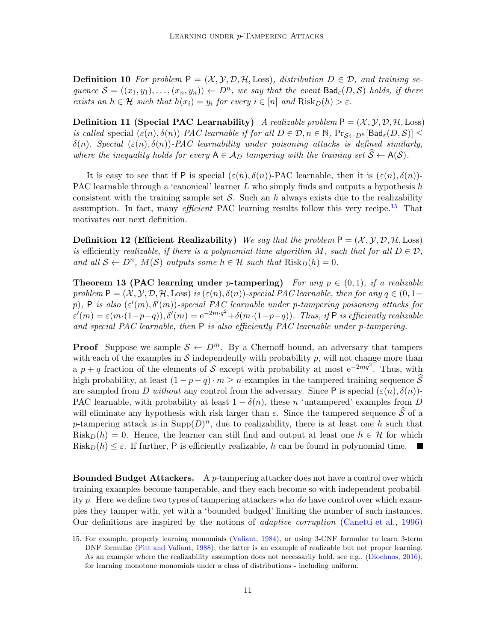**Definition 10** For problem  $P = (\mathcal{X}, \mathcal{Y}, \mathcal{D}, \mathcal{H}, \text{Loss})$ , distribution  $D \in \mathcal{D}$ , and training sequence  $S = ((x_1, y_1), \ldots, (x_n, y_n)) \leftarrow D^n$ , we say that the event  $\textsf{Bad}_{\varepsilon}(D, S)$  holds, if there exists an  $h \in \mathcal{H}$  such that  $h(x_i) = y_i$  for every  $i \in [n]$  and  $Risk_D(h) > \varepsilon$ .

<span id="page-10-0"></span>**Definition 11 (Special PAC Learnability)** A realizable problem  $P = (\mathcal{X}, \mathcal{Y}, \mathcal{D}, \mathcal{H}, \text{Loss})$ is called special  $(\varepsilon(n), \delta(n))$ -PAC learnable if for all  $D \in \mathcal{D}, n \in \mathbb{N}$ ,  $Pr_{\mathcal{S} \leftarrow D^{n}}[\text{Bad}_{\varepsilon}(D, \mathcal{S})] \leq$  $\delta(n)$ . Special  $(\varepsilon(n), \delta(n))$ -PAC learnability under poisoning attacks is defined similarly, where the inequality holds for every  $A \in A_D$  tampering with the training set  $S \leftarrow A(S)$ .

It is easy to see that if P is special  $(\varepsilon(n), \delta(n))$ -PAC learnable, then it is  $(\varepsilon(n), \delta(n))$ -PAC learnable through a 'canonical' learner  $L$  who simply finds and outputs a hypothesis  $h$ consistent with the training sample set  $S$ . Such an h always exists due to the realizability assumption. In fact, many *efficient* PAC learning results follow this very recipe.<sup>[15](#page-10-1)</sup> That motivates our next definition.

**Definition 12 (Efficient Realizability)** We say that the problem  $P = (\mathcal{X}, \mathcal{Y}, \mathcal{D}, \mathcal{H}, \text{Loss})$ is efficiently realizable, if there is a polynomial-time algorithm M, such that for all  $D \in \mathcal{D}$ , and all  $S \leftarrow D^n$ ,  $M(S)$  outputs some  $h \in \mathcal{H}$  such that  $Risk_D(h) = 0$ .

<span id="page-10-2"></span>**Theorem 13 (PAC learning under p-tampering)** For any  $p \in (0,1)$ , if a realizable problem  $P = (X, Y, D, H, Loss)$  is  $(\varepsilon(n), \delta(n))$ -special PAC learnable, then for any  $q \in (0, 1-\delta)$ p), P is also  $(\varepsilon'(m), \delta'(m))$ -special PAC learnable under p-tampering poisoning attacks for  $\varepsilon'(m) = \varepsilon(m \cdot (1-p-q)), \delta'(m) = e^{-2m \cdot q^2} + \delta(m \cdot (1-p-q)).$  Thus, if P is efficiently realizable and special PAC learnable, then  $P$  is also efficiently PAC learnable under p-tampering.

**Proof** Suppose we sample  $S \leftarrow D^m$ . By a Chernoff bound, an adversary that tampers with each of the examples in  $S$  independently with probability  $p$ , will not change more than a  $p + q$  fraction of the elements of S except with probability at most  $e^{-2mq^2}$ . Thus, with high probability, at least  $(1 - p - q) \cdot m \ge n$  examples in the tampered training sequence  $\widehat{S}$ are sampled from D without any control from the adversary. Since P is special  $(\varepsilon(n), \delta(n))$ -PAC learnable, with probability at least  $1 - \delta(n)$ , these n 'untampered' examples from D will eliminate any hypothesis with risk larger than  $\varepsilon$ . Since the tampered sequence  $\hat{S}$  of a p-tampering attack is in  $\text{Supp}(D)^n$ , due to realizability, there is at least one h such that  $Risk_D(h) = 0$ . Hence, the learner can still find and output at least one  $h \in \mathcal{H}$  for which Risk $p(h) \leq \varepsilon$ . If further, P is efficiently realizable, h can be found in polynomial time.

**Bounded Budget Attackers.** A p-tampering attacker does not have a control over which training examples become tamperable, and they each become so with independent probability p. Here we define two types of tampering attackers who do have control over which examples they tamper with, yet with a 'bounded budged' limiting the number of such instances. Our definitions are inspired by the notions of adaptive corruption [\(Canetti et al.,](#page-12-8) [1996\)](#page-12-8)

<span id="page-10-1"></span><sup>15.</sup> For example, properly learning monomials [\(Valiant](#page-14-0), [1984](#page-14-0)), or using 3-CNF formulae to learn 3-term DNF formulae [\(Pitt and Valiant](#page-14-14), [1988\)](#page-14-14); the latter is an example of realizable but not proper learning. As an example where the realizability assumption does not necessarily hold, see e.g., [\(Diochnos,](#page-13-12) [2016\)](#page-13-12), for learning monotone monomials under a class of distributions - including uniform.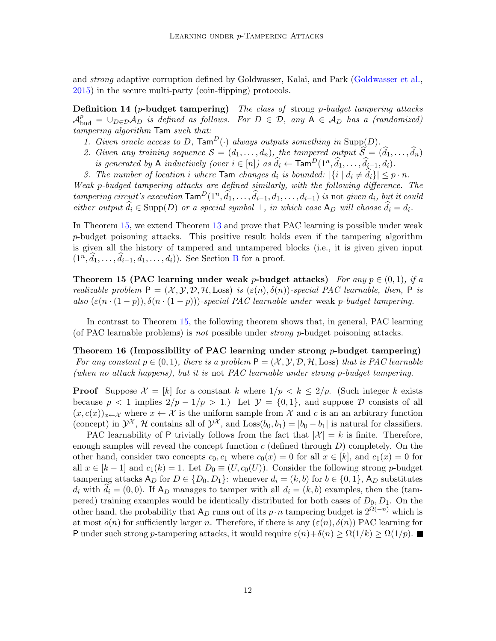and strong adaptive corruption defined by Goldwasser, Kalai, and Park [\(Goldwasser et al.,](#page-13-8) [2015\)](#page-13-8) in the secure multi-party (coin-flipping) protocols.

**Definition 14 (p-budget tampering)** The class of strong p-budget tampering attacks  $\mathcal{A}_{\text{bud}}^p = \cup_{D \in \mathcal{D}} \mathcal{A}_D$  is defined as follows. For  $D \in \mathcal{D}$ , any  $A \in \mathcal{A}_D$  has a (randomized) tampering algorithm Tam such that:

- <span id="page-11-1"></span>1. Given oracle access to D,  $\text{Tam}^D(\cdot)$  always outputs something in Supp(D).
- 2. Given any training sequence  $S = (d_1, \ldots, d_n)$ , the tampered output  $\widehat{S} = (\widehat{d}_1, \ldots, \widehat{d}_n)$ is generated by A inductively (over  $i \in [n]$ ) as  $\widehat{d}_i \leftarrow \text{Tam}^D(1^n, \widehat{d}_1, \ldots, \widehat{d}_{i-1}, d_i)$ .
- 3. The number of location i where  $\textsf{Tam}$  changes  $d_i$  is bounded:  $|\{i \mid d_i \neq \hat{d}_i\}| \leq p \cdot n$ .

Weak p-budged tampering attacks are defined similarly, with the following difference. The tampering circuit's execution  $\textsf{Tam}^D(1^n, \widehat{d}_1, \ldots, \widehat{d}_{i-1}, d_1, \ldots, d_{i-1})$  is not given  $d_i$ , but it could either output  $\hat{d}_i \in \text{Supp}(D)$  or a special symbol  $\bot$ , in which case  $A_D$  will choose  $\hat{d}_i = d_i$ .

In Theorem [15,](#page-11-0) we extend Theorem [13](#page-10-2) and prove that PAC learning is possible under weak p-budget poisoning attacks. This positive result holds even if the tampering algorithm is given all the history of tampered and untampered blocks (i.e., it is given given input  $(1^n, \hat{d}_1, \ldots, \hat{d}_{i-1}, d_1, \ldots, d_i)$ ). See Section [B](#page-24-1) for a proof.

<span id="page-11-0"></span>Theorem 15 (PAC learning under weak p-budget attacks) For any  $p \in (0,1)$ , if a realizable problem  $P = (X, Y, \mathcal{D}, \mathcal{H}, \text{Loss})$  is  $(\varepsilon(n), \delta(n))$ -special PAC learnable, then, P is also  $(\varepsilon(n \cdot (1-p)), \delta(n \cdot (1-p)))$ -special PAC learnable under weak p-budget tampering.

<span id="page-11-2"></span>In contrast to Theorem [15,](#page-11-0) the following theorem shows that, in general, PAC learning (of PAC learnable problems) is not possible under strong p-budget poisoning attacks.

Theorem 16 (Impossibility of PAC learning under strong  $p$ -budget tampering) For any constant  $p \in (0, 1)$ , there is a problem  $P = (\mathcal{X}, \mathcal{Y}, \mathcal{D}, \mathcal{H}, \text{Loss})$  that is PAC learnable (when no attack happens), but it is not PAC learnable under strong p-budget tampering.

**Proof** Suppose  $\mathcal{X} = [k]$  for a constant k where  $1/p < k \leq 2/p$ . (Such integer k exists because  $p < 1$  implies  $2/p - 1/p > 1$ . Let  $\mathcal{Y} = \{0, 1\}$ , and suppose  $\mathcal{D}$  consists of all  $(x, c(x))_{x \leftarrow \mathcal{X}}$  where  $x \leftarrow \mathcal{X}$  is the uniform sample from  $\mathcal{X}$  and c is an an arbitrary function (concept) in  $\mathcal{Y}^{\mathcal{X}}, \mathcal{H}$  contains all of  $\mathcal{Y}^{\mathcal{X}},$  and  $\text{Loss}(b_0, b_1) = |b_0 - b_1|$  is natural for classifiers.

PAC learnability of P trivially follows from the fact that  $|\mathcal{X}| = k$  is finite. Therefore, enough samples will reveal the concept function c (defined through  $D$ ) completely. On the other hand, consider two concepts  $c_0, c_1$  where  $c_0(x) = 0$  for all  $x \in [k]$ , and  $c_1(x) = 0$  for all  $x \in [k-1]$  and  $c_1(k) = 1$ . Let  $D_0 \equiv (U, c_0(U))$ . Consider the following strong p-budget tampering attacks  $A_D$  for  $D \in \{D_0, D_1\}$ : whenever  $d_i = (k, b)$  for  $b \in \{0, 1\}$ ,  $A_D$  substitutes  $d_i$  with  $d_i = (0, 0)$ . If A<sub>D</sub> manages to tamper with all  $d_i = (k, b)$  examples, then the (tampered) training examples would be identically distributed for both cases of  $D_0, D_1$ . On the other hand, the probability that  $A_D$  runs out of its  $p \cdot n$  tampering budget is  $2^{\Omega(-n)}$  which is at most  $o(n)$  for sufficiently larger n. Therefore, if there is any  $(\varepsilon(n), \delta(n))$  PAC learning for P under such strong p-tampering attacks, it would require  $\varepsilon(n)+\delta(n) \geq \Omega(1/k) \geq \Omega(1/p)$ .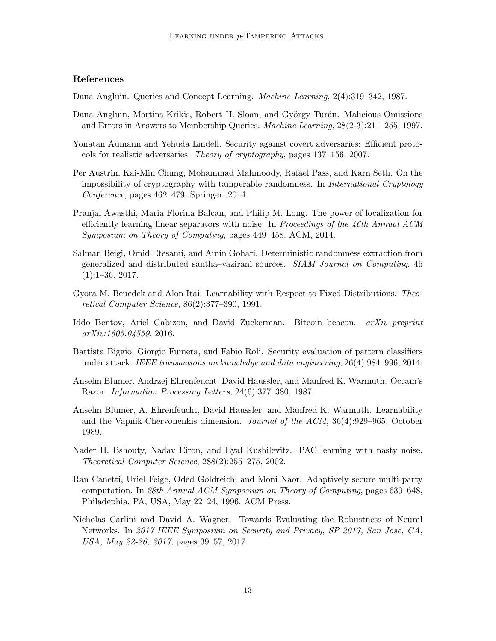# References

<span id="page-12-13"></span>Dana Angluin. Queries and Concept Learning. Machine Learning, 2(4):319–342, 1987.

- <span id="page-12-12"></span>Dana Angluin, Martins Krikis, Robert H. Sloan, and György Turán. Malicious Omissions and Errors in Answers to Membership Queries. Machine Learning, 28(2-3):211–255, 1997.
- <span id="page-12-4"></span>Yonatan Aumann and Yehuda Lindell. Security against covert adversaries: Efficient protocols for realistic adversaries. Theory of cryptography, pages 137–156, 2007.
- <span id="page-12-9"></span>Per Austrin, Kai-Min Chung, Mohammad Mahmoody, Rafael Pass, and Karn Seth. On the impossibility of cryptography with tamperable randomness. In International Cryptology Conference, pages 462–479. Springer, 2014.
- <span id="page-12-2"></span>Pranjal Awasthi, Maria Florina Balcan, and Philip M. Long. The power of localization for efficiently learning linear separators with noise. In Proceedings of the 46th Annual ACM Symposium on Theory of Computing, pages 449–458. ACM, 2014.
- <span id="page-12-10"></span>Salman Beigi, Omid Etesami, and Amin Gohari. Deterministic randomness extraction from generalized and distributed santha–vazirani sources. SIAM Journal on Computing, 46  $(1):1-36, 2017.$
- <span id="page-12-0"></span>Gyora M. Benedek and Alon Itai. Learnability with Respect to Fixed Distributions. Theoretical Computer Science, 86(2):377–390, 1991.
- <span id="page-12-7"></span>Iddo Bentov, Ariel Gabizon, and David Zuckerman. Bitcoin beacon. arXiv preprint arXiv:1605.04559, 2016.
- <span id="page-12-5"></span>Battista Biggio, Giorgio Fumera, and Fabio Roli. Security evaluation of pattern classifiers under attack. IEEE transactions on knowledge and data engineering, 26(4):984–996, 2014.
- <span id="page-12-11"></span>Anselm Blumer, Andrzej Ehrenfeucht, David Haussler, and Manfred K. Warmuth. Occam's Razor. Information Processing Letters, 24(6):377–380, 1987.
- <span id="page-12-3"></span>Anselm Blumer, A. Ehrenfeucht, David Haussler, and Manfred K. Warmuth. Learnability and the Vapnik-Chervonenkis dimension. Journal of the ACM, 36(4):929–965, October 1989.
- <span id="page-12-1"></span>Nader H. Bshouty, Nadav Eiron, and Eyal Kushilevitz. PAC learning with nasty noise. Theoretical Computer Science, 288(2):255–275, 2002.
- <span id="page-12-8"></span>Ran Canetti, Uriel Feige, Oded Goldreich, and Moni Naor. Adaptively secure multi-party computation. In 28th Annual ACM Symposium on Theory of Computing, pages 639–648, Philadephia, PA, USA, May 22–24, 1996. ACM Press.
- <span id="page-12-6"></span>Nicholas Carlini and David A. Wagner. Towards Evaluating the Robustness of Neural Networks. In 2017 IEEE Symposium on Security and Privacy, SP 2017, San Jose, CA, USA, May 22-26, 2017, pages 39–57, 2017.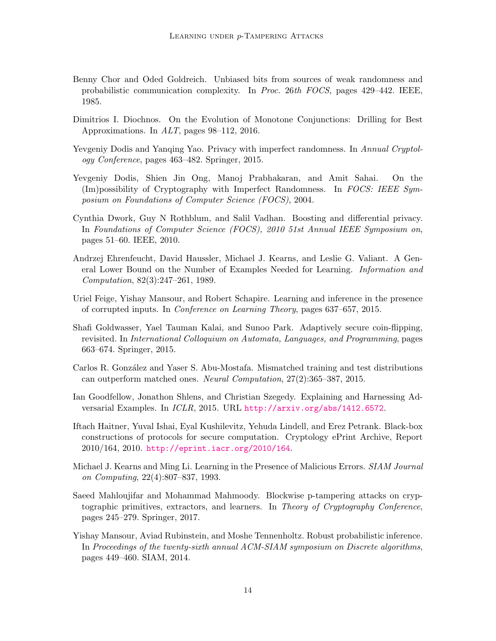- <span id="page-13-9"></span>Benny Chor and Oded Goldreich. Unbiased bits from sources of weak randomness and probabilistic communication complexity. In Proc. 26th FOCS, pages 429–442. IEEE, 1985.
- <span id="page-13-12"></span>Dimitrios I. Diochnos. On the Evolution of Monotone Conjunctions: Drilling for Best Approximations. In ALT, pages 98–112, 2016.
- <span id="page-13-11"></span>Yevgeniy Dodis and Yanqing Yao. Privacy with imperfect randomness. In Annual Cryptology Conference, pages 463–482. Springer, 2015.
- <span id="page-13-10"></span>Yevgeniy Dodis, Shien Jin Ong, Manoj Prabhakaran, and Amit Sahai. On the (Im)possibility of Cryptography with Imperfect Randomness. In FOCS: IEEE Symposium on Foundations of Computer Science (FOCS), 2004.
- <span id="page-13-13"></span>Cynthia Dwork, Guy N Rothblum, and Salil Vadhan. Boosting and differential privacy. In Foundations of Computer Science (FOCS), 2010 51st Annual IEEE Symposium on, pages 51–60. IEEE, 2010.
- <span id="page-13-2"></span>Andrzej Ehrenfeucht, David Haussler, Michael J. Kearns, and Leslie G. Valiant. A General Lower Bound on the Number of Examples Needed for Learning. Information and Computation, 82(3):247–261, 1989.
- <span id="page-13-6"></span>Uriel Feige, Yishay Mansour, and Robert Schapire. Learning and inference in the presence of corrupted inputs. In Conference on Learning Theory, pages 637–657, 2015.
- <span id="page-13-8"></span>Shafi Goldwasser, Yael Tauman Kalai, and Sunoo Park. Adaptively secure coin-flipping, revisited. In International Colloquium on Automata, Languages, and Programming, pages 663–674. Springer, 2015.
- <span id="page-13-4"></span>Carlos R. González and Yaser S. Abu-Mostafa. Mismatched training and test distributions can outperform matched ones. Neural Computation, 27(2):365–387, 2015.
- <span id="page-13-5"></span>Ian Goodfellow, Jonathon Shlens, and Christian Szegedy. Explaining and Harnessing Adversarial Examples. In ICLR, 2015. URL <http://arxiv.org/abs/1412.6572>.
- <span id="page-13-3"></span>Iftach Haitner, Yuval Ishai, Eyal Kushilevitz, Yehuda Lindell, and Erez Petrank. Black-box constructions of protocols for secure computation. Cryptology ePrint Archive, Report 2010/164, 2010. <http://eprint.iacr.org/2010/164>.
- <span id="page-13-0"></span>Michael J. Kearns and Ming Li. Learning in the Presence of Malicious Errors. SIAM Journal on Computing, 22(4):807–837, 1993.
- <span id="page-13-1"></span>Saeed Mahloujifar and Mohammad Mahmoody. Blockwise p-tampering attacks on cryptographic primitives, extractors, and learners. In Theory of Cryptography Conference, pages 245–279. Springer, 2017.
- <span id="page-13-7"></span>Yishay Mansour, Aviad Rubinstein, and Moshe Tennenholtz. Robust probabilistic inference. In Proceedings of the twenty-sixth annual ACM-SIAM symposium on Discrete algorithms, pages 449–460. SIAM, 2014.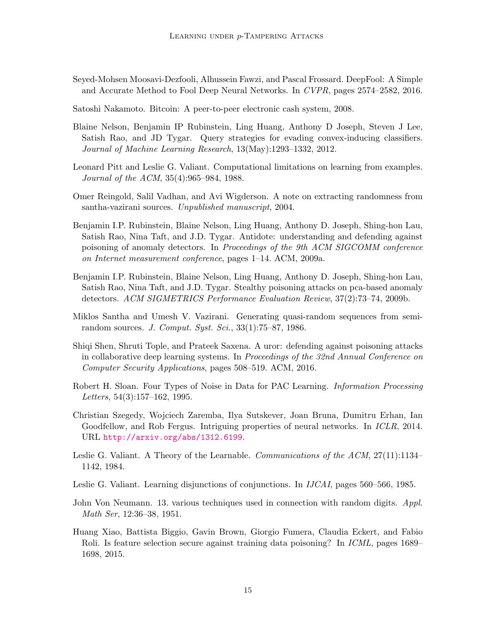- <span id="page-14-9"></span>Seyed-Mohsen Moosavi-Dezfooli, Alhussein Fawzi, and Pascal Frossard. DeepFool: A Simple and Accurate Method to Fool Deep Neural Networks. In CVPR, pages 2574–2582, 2016.
- <span id="page-14-10"></span>Satoshi Nakamoto. Bitcoin: A peer-to-peer electronic cash system, 2008.
- <span id="page-14-8"></span>Blaine Nelson, Benjamin IP Rubinstein, Ling Huang, Anthony D Joseph, Steven J Lee, Satish Rao, and JD Tygar. Query strategies for evading convex-inducing classifiers. Journal of Machine Learning Research, 13(May):1293–1332, 2012.
- <span id="page-14-14"></span>Leonard Pitt and Leslie G. Valiant. Computational limitations on learning from examples. Journal of the ACM, 35(4):965–984, 1988.
- <span id="page-14-13"></span>Omer Reingold, Salil Vadhan, and Avi Wigderson. A note on extracting randomness from santha-vazirani sources. Unpublished manuscript, 2004.
- <span id="page-14-5"></span>Benjamin I.P. Rubinstein, Blaine Nelson, Ling Huang, Anthony D. Joseph, Shing-hon Lau, Satish Rao, Nina Taft, and J.D. Tygar. Antidote: understanding and defending against poisoning of anomaly detectors. In Proceedings of the 9th ACM SIGCOMM conference on Internet measurement conference, pages 1–14. ACM, 2009a.
- <span id="page-14-4"></span>Benjamin I.P. Rubinstein, Blaine Nelson, Ling Huang, Anthony D. Joseph, Shing-hon Lau, Satish Rao, Nina Taft, and J.D. Tygar. Stealthy poisoning attacks on pca-based anomaly detectors. ACM SIGMETRICS Performance Evaluation Review, 37(2):73–74, 2009b.
- <span id="page-14-12"></span>Miklos Santha and Umesh V. Vazirani. Generating quasi-random sequences from semirandom sources. J. Comput. Syst. Sci., 33(1):75–87, 1986.
- <span id="page-14-3"></span>Shiqi Shen, Shruti Tople, and Prateek Saxena. A uror: defending against poisoning attacks in collaborative deep learning systems. In Proceedings of the 32nd Annual Conference on Computer Security Applications, pages 508–519. ACM, 2016.
- <span id="page-14-6"></span>Robert H. Sloan. Four Types of Noise in Data for PAC Learning. Information Processing Letters, 54(3):157–162, 1995.
- <span id="page-14-7"></span>Christian Szegedy, Wojciech Zaremba, Ilya Sutskever, Joan Bruna, Dumitru Erhan, Ian Goodfellow, and Rob Fergus. Intriguing properties of neural networks. In *ICLR*, 2014. URL <http://arxiv.org/abs/1312.6199>.
- <span id="page-14-0"></span>Leslie G. Valiant. A Theory of the Learnable. Communications of the ACM, 27(11):1134– 1142, 1984.
- <span id="page-14-1"></span>Leslie G. Valiant. Learning disjunctions of conjunctions. In *IJCAI*, pages 560–566, 1985.
- <span id="page-14-11"></span>John Von Neumann. 13. various techniques used in connection with random digits. Appl. Math Ser, 12:36–38, 1951.
- <span id="page-14-2"></span>Huang Xiao, Battista Biggio, Gavin Brown, Giorgio Fumera, Claudia Eckert, and Fabio Roli. Is feature selection secure against training data poisoning? In ICML, pages 1689– 1698, 2015.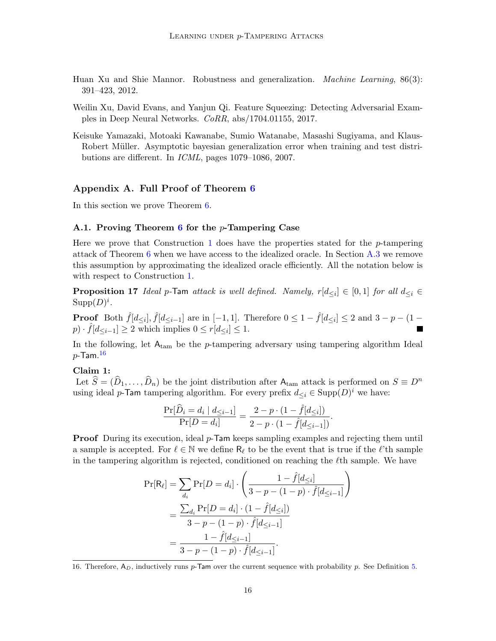- <span id="page-15-0"></span>Huan Xu and Shie Mannor. Robustness and generalization. Machine Learning, 86(3): 391–423, 2012.
- <span id="page-15-2"></span>Weilin Xu, David Evans, and Yanjun Qi. Feature Squeezing: Detecting Adversarial Examples in Deep Neural Networks. CoRR, abs/1704.01155, 2017.
- <span id="page-15-1"></span>Keisuke Yamazaki, Motoaki Kawanabe, Sumio Watanabe, Masashi Sugiyama, and Klaus-Robert Müller. Asymptotic bayesian generalization error when training and test distributions are different. In ICML, pages 1079–1086, 2007.

# <span id="page-15-3"></span>Appendix A. Full Proof of Theorem [6](#page-7-1)

In this section we prove Theorem [6.](#page-7-1)

#### A.1. Proving Theorem [6](#page-7-1) for the  $p$ -Tampering Case

Here we prove that Construction [1](#page-9-1) does have the properties stated for the p-tampering attack of Theorem [6](#page-7-1) when we have access to the idealized oracle. In Section [A.3](#page-18-0) we remove this assumption by approximating the idealized oracle efficiently. All the notation below is with respect to Construction [1.](#page-9-1)

**Proposition 17** Ideal p-Tam attack is well defined. Namely,  $r[d_{\leq i}] \in [0,1]$  for all  $d_{\leq i} \in$  $\text{Supp}(D)^i$ .

**Proof** Both  $\hat{f}[d_{\leq i}]$ ,  $\hat{f}[d_{\leq i-1}]$  are in  $[-1, 1]$ . Therefore  $0 \leq 1 - \hat{f}[d_{\leq i}] \leq 2$  and  $3 - p - (1$  $p) \cdot \hat{f}[d_{\leq i-1}] \geq 2$  which implies  $0 \leq r[d_{\leq i}] \leq 1$ .

<span id="page-15-5"></span>In the following, let  $A_{tan}$  be the p-tampering adversary using tampering algorithm Ideal  $p$ -Tam. $^{16}$  $^{16}$  $^{16}$ 

#### Claim 1:

Let  $\widehat{S} = (\widehat{D}_1, \ldots, \widehat{D}_n)$  be the joint distribution after  $A_{\text{tam}}$  attack is performed on  $S \equiv D^n$ using ideal p-Tam tampering algorithm. For every prefix  $d_{\leq i} \in \text{Supp}(D)^i$  we have:

$$
\frac{\Pr[\widehat{D}_i = d_i | d_{\leq i-1}]}{\Pr[D = d_i]} = \frac{2 - p \cdot (1 - \widehat{f}[d_{\leq i}])}{2 - p \cdot (1 - \widehat{f}[d_{\leq i-1}])}.
$$

**Proof** During its execution, ideal  $p$ -Tam keeps sampling examples and rejecting them until a sample is accepted. For  $\ell \in \mathbb{N}$  we define  $R_{\ell}$  to be the event that is true if the  $\ell$ 'th sample in the tampering algorithm is rejected, conditioned on reaching the  $\ell$ th sample. We have

$$
\Pr[\mathsf{R}_{\ell}] = \sum_{d_i} \Pr[D = d_i] \cdot \left(\frac{1 - \hat{f}[d_{\leq i}]}{3 - p - (1 - p) \cdot \hat{f}[d_{\leq i-1}]}\right)
$$

$$
= \frac{\sum_{d_i} \Pr[D = d_i] \cdot (1 - \hat{f}[d_{\leq i}])}{3 - p - (1 - p) \cdot \hat{f}[d_{\leq i-1}]}
$$

$$
= \frac{1 - \hat{f}[d_{\leq i-1}]}{3 - p - (1 - p) \cdot \hat{f}[d_{\leq i-1}]}
$$

<span id="page-15-4"></span>16. Therefore,  $A_D$ , inductively runs p-Tam over the current sequence with probability p. See Definition [5.](#page-7-0)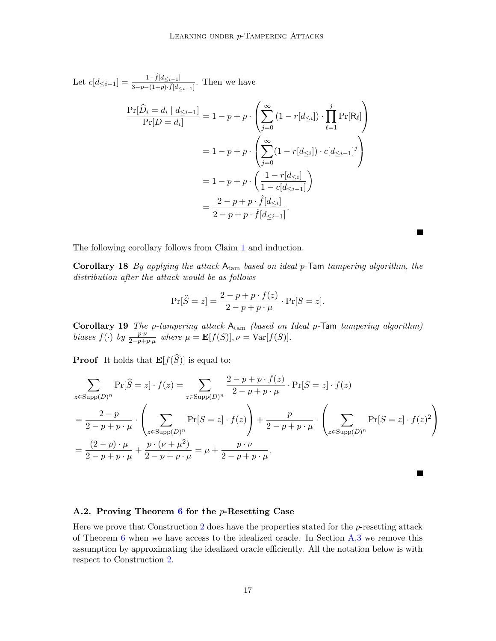Let 
$$
c[d_{\leq i-1}] = \frac{1-\hat{f}[d_{\leq i-1}]}{3-p-(1-p)\cdot\hat{f}[d_{\leq i-1}]}
$$
. Then we have  
\n
$$
\frac{\Pr[\widehat{D}_i = d_i | d_{\leq i-1}]}{\Pr[D = d_i]} = 1 - p + p \cdot \left(\sum_{j=0}^{\infty} (1 - r[d_{\leq i}]) \cdot \prod_{\ell=1}^{j} \Pr[R_{\ell}]\right)
$$
\n
$$
= 1 - p + p \cdot \left(\sum_{j=0}^{\infty} (1 - r[d_{\leq i}]) \cdot c[d_{\leq i-1}]^j\right)
$$
\n
$$
= 1 - p + p \cdot \left(\frac{1 - r[d_{\leq i}]}{1 - c[d_{\leq i-1}]}\right)
$$
\n
$$
= \frac{2 - p + p \cdot \hat{f}[d_{\leq i}]}{2 - p + p \cdot \hat{f}[d_{\leq i-1}]}.
$$

The following corollary follows from Claim [1](#page-15-5) and induction.

Corollary 18 By applying the attack  $A_{\text{tam}}$  based on ideal p-Tam tampering algorithm, the distribution after the attack would be as follows

П

$$
\Pr[\widehat{S} = z] = \frac{2 - p + p \cdot f(z)}{2 - p + p \cdot \mu} \cdot \Pr[S = z].
$$

Corollary 19 The p-tampering attack Atam (based on Ideal p-Tam tampering algorithm) biases  $f(\cdot)$  by  $\frac{p \cdot \nu}{2-p+p \cdot \mu}$  where  $\mu = \mathbf{E}[f(S)], \nu = \text{Var}[f(S)].$ 

**Proof** It holds that  $\mathbf{E}[f(\widehat{S})]$  is equal to:

$$
\sum_{z \in \text{Supp}(D)^n} \Pr[\widehat{S} = z] \cdot f(z) = \sum_{z \in \text{Supp}(D)^n} \frac{2 - p + p \cdot f(z)}{2 - p + p \cdot \mu} \cdot \Pr[S = z] \cdot f(z)
$$

$$
= \frac{2 - p}{2 - p + p \cdot \mu} \cdot \left( \sum_{z \in \text{Supp}(D)^n} \Pr[S = z] \cdot f(z) \right) + \frac{p}{2 - p + p \cdot \mu} \cdot \left( \sum_{z \in \text{Supp}(D)^n} \Pr[S = z] \cdot f(z)^2 \right)
$$

$$
= \frac{(2 - p) \cdot \mu}{2 - p + p \cdot \mu} + \frac{p \cdot (\nu + \mu^2)}{2 - p + p \cdot \mu} = \mu + \frac{p \cdot \nu}{2 - p + p \cdot \mu}.
$$

### A.2. Proving Theorem  $6$  for the  $p$ -Resetting Case

Here we prove that Construction [2](#page-9-2) does have the properties stated for the  $p$ -resetting attack of Theorem  $6$  when we have access to the idealized oracle. In Section  $A.3$  we remove this assumption by approximating the idealized oracle efficiently. All the notation below is with respect to Construction [2.](#page-9-2)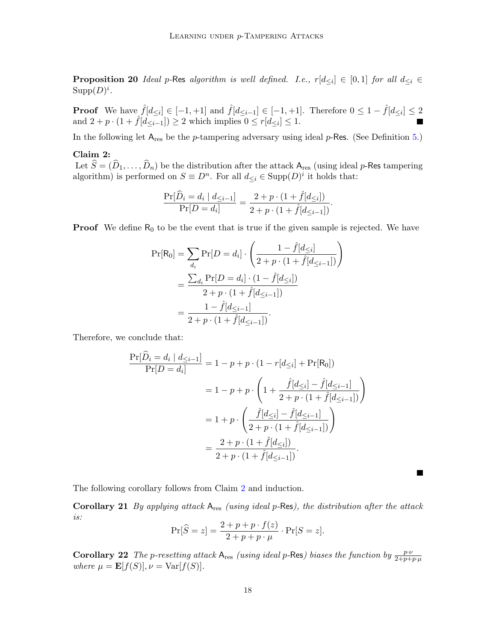**Proposition 20** Ideal p-Res algorithm is well defined. I.e.,  $r[d_{\leq i}] \in [0,1]$  for all  $d_{\leq i} \in$  $\text{Supp}(D)^i$ .

**Proof** We have  $\hat{f}[d_{\leq i}] \in [-1, +1]$  and  $\hat{f}[d_{\leq i-1}] \in [-1, +1]$ . Therefore  $0 \leq 1 - \hat{f}[d_{\leq i}] \leq 2$ and  $2 + p \cdot (1 + \hat{f}[d_{\leq i-1}]) \geq 2$  which implies  $0 \leq r[d_{\leq i}] \leq 1$ .

In the following let  $A_{res}$  be the *p*-tampering adversary using ideal *p*-Res. (See Definition [5.](#page-7-0))

#### Claim 2:

Let  $\widehat{S} = (\widehat{D}_1, \ldots, \widehat{D}_n)$  be the distribution after the attack  $A_{\text{res}}$  (using ideal p-Res tampering algorithm) is performed on  $S \equiv D^n$ . For all  $d_{\leq i} \in \text{Supp}(D)^i$  it holds that:

<span id="page-17-0"></span>
$$
\frac{\Pr[\widehat{D}_i = d_i | d_{\leq i-1}]}{\Pr[D = d_i]} = \frac{2 + p \cdot (1 + \widehat{f}[d_{\leq i}])}{2 + p \cdot (1 + \widehat{f}[d_{\leq i-1}])}.
$$

**Proof** We define  $R_0$  to be the event that is true if the given sample is rejected. We have

$$
\Pr[R_0] = \sum_{d_i} \Pr[D = d_i] \cdot \left(\frac{1 - \hat{f}[d_{\leq i}]}{2 + p \cdot (1 + \hat{f}[d_{\leq i-1}])}\right)
$$
  
= 
$$
\frac{\sum_{d_i} \Pr[D = d_i] \cdot (1 - \hat{f}[d_{\leq i}])}{2 + p \cdot (1 + \hat{f}[d_{\leq i-1}])}
$$
  
= 
$$
\frac{1 - \hat{f}[d_{\leq i-1}]}{2 + p \cdot (1 + \hat{f}[d_{\leq i-1}])}.
$$

Therefore, we conclude that:

$$
\frac{\Pr[\hat{D}_{i} = d_{i} | d_{\leq i-1}]}{\Pr[D = d_{i}]} = 1 - p + p \cdot (1 - r[d_{\leq i}] + \Pr[R_{0}])
$$
  
= 1 - p + p \cdot \left(1 + \frac{\hat{f}[d\_{\leq i}] - \hat{f}[d\_{\leq i-1}]}{2 + p \cdot (1 + \hat{f}[d\_{\leq i-1}])}\right)  
= 1 + p \cdot \left(\frac{\hat{f}[d\_{\leq i}] - \hat{f}[d\_{\leq i-1}]}{2 + p \cdot (1 + \hat{f}[d\_{\leq i-1}])}\right)  
= \frac{2 + p \cdot (1 + \hat{f}[d\_{\leq i}])}{2 + p \cdot (1 + \hat{f}[d\_{\leq i-1}])}.

The following corollary follows from Claim [2](#page-17-0) and induction.

**Corollary 21** By applying attack  $A_{res}$  (using ideal p-Res), the distribution after the attack is:  $P \mid n \mid n \cdot f(x)$ 

**The Second Service** 

$$
\Pr[\widehat{S}=z] = \frac{2+p+p\cdot f(z)}{2+p+p\cdot \mu} \cdot \Pr[S=z].
$$

**Corollary 22** The p-resetting attack  $A_{res}$  (using ideal p-Res) biases the function by  $\frac{p \cdot \nu}{2+p+p \cdot \mu}$ where  $\mu = \mathbf{E}[f(S)], \nu = \text{Var}[f(S)].$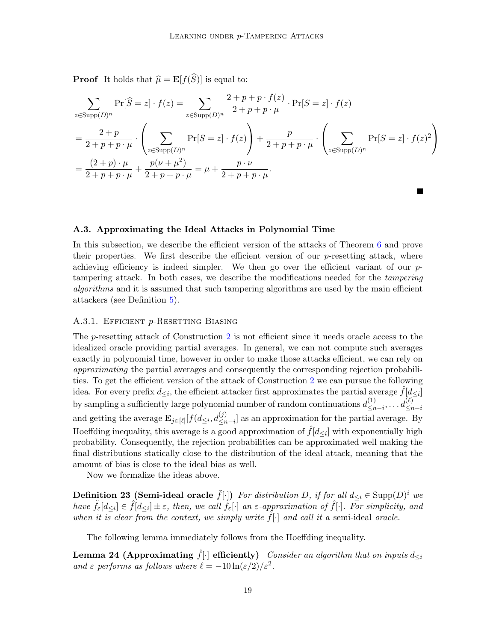**Proof** It holds that  $\widehat{\mu} = \mathbf{E}[f(\widehat{S})]$  is equal to:

$$
\sum_{z \in \text{Supp}(D)^n} \Pr[\widehat{S} = z] \cdot f(z) = \sum_{z \in \text{Supp}(D)^n} \frac{2 + p + p \cdot f(z)}{2 + p + p \cdot \mu} \cdot \Pr[S = z] \cdot f(z)
$$

$$
= \frac{2 + p}{2 + p + p \cdot \mu} \cdot \left( \sum_{z \in \text{Supp}(D)^n} \Pr[S = z] \cdot f(z) \right) + \frac{p}{2 + p + p \cdot \mu} \cdot \left( \sum_{z \in \text{Supp}(D)^n} \Pr[S = z] \cdot f(z)^2 \right)
$$

$$
= \frac{(2 + p) \cdot \mu}{2 + p + p \cdot \mu} + \frac{p(\nu + \mu^2)}{2 + p + p \cdot \mu} = \mu + \frac{p \cdot \nu}{2 + p + p \cdot \mu}.
$$

#### <span id="page-18-0"></span>A.3. Approximating the Ideal Attacks in Polynomial Time

In this subsection, we describe the efficient version of the attacks of Theorem [6](#page-7-1) and prove their properties. We first describe the efficient version of our  $p$ -resetting attack, where achieving efficiency is indeed simpler. We then go over the efficient variant of our  $p$ tampering attack. In both cases, we describe the modifications needed for the tampering algorithms and it is assumed that such tampering algorithms are used by the main efficient attackers (see Definition [5\)](#page-7-0).

#### A.3.1. EFFICIENT p-RESETTING BIASING

The p-resetting attack of Construction [2](#page-9-2) is not efficient since it needs oracle access to the idealized oracle providing partial averages. In general, we can not compute such averages exactly in polynomial time, however in order to make those attacks efficient, we can rely on approximating the partial averages and consequently the corresponding rejection probabilities. To get the efficient version of the attack of Construction [2](#page-9-2) we can pursue the following idea. For every prefix  $d_{\leq i}$ , the efficient attacker first approximates the partial average  $\hat{f}[d_{\leq i}]$ by sampling a sufficiently large polynomial number of random continuations  $d_{\leq n}^{(1)}$  $\leq n-i,\ldots d_{\leq n-i}^{(\ell)}$ and getting the average  $\mathbf{E}_{j\in[\ell]}[f(d_{\leq i}, d_{\leq n-i}^{(j)}]$  as an approximation for the partial average. By Hoeffding inequality, this average is a good approximation of  $\hat{f}[d_{\leq i}]$  with exponentially high probability. Consequently, the rejection probabilities can be approximated well making the final distributions statically close to the distribution of the ideal attack, meaning that the amount of bias is close to the ideal bias as well.

Now we formalize the ideas above.

**Definition 23 (Semi-ideal oracle**  $\tilde{f}[\cdot]$ ) For distribution D, if for all  $d_{\leq i} \in \text{Supp}(D)^i$  we have  $\tilde{f}_{\varepsilon}[d_{\leq i}] \in \hat{f}[d_{\leq i}] \pm \varepsilon$ , then, we call  $\tilde{f}_{\varepsilon}[\cdot]$  an  $\varepsilon$ -approximation of  $\hat{f}[\cdot]$ . For simplicity, and when it is clear from the context, we simply write  $\tilde{f}[\cdot]$  and call it a semi-ideal oracle.

<span id="page-18-1"></span>The following lemma immediately follows from the Hoeffding inequality.

Lemma 24 (Approximating  $f[\cdot]$  efficiently) Consider an algorithm that on inputs  $d_{\leq i}$ and  $\varepsilon$  performs as follows where  $\ell = -10 \ln(\varepsilon/2)/\varepsilon^2$ .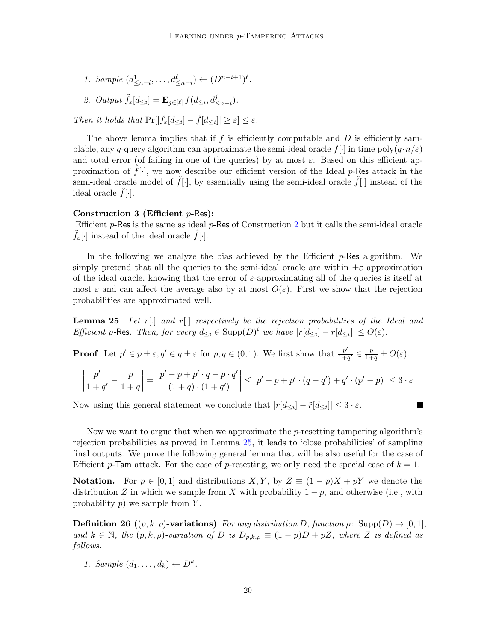- 1. Sample  $(d_{\leq n-i}^1, \ldots, d_{\leq n-i}^{\ell}) \leftarrow (D^{n-i+1})^{\ell}$ .
- 2. Output  $\tilde{f}_{\varepsilon}[d_{\leq i}] = \mathbf{E}_{j \in [\ell]} f(d_{\leq i}, d_{\leq n-i}^j)$ .

Then it holds that  $Pr[|\tilde{f}_{\varepsilon}[d_{\leq i}] - \hat{f}[d_{\leq i}]| \geq \varepsilon] \leq \varepsilon$ .

The above lemma implies that if f is efficiently computable and  $D$  is efficiently samplable, any q-query algorithm can approximate the semi-ideal oracle  $f[\cdot]$  in time poly $(q \cdot n/\varepsilon)$ and total error (of failing in one of the queries) by at most  $\varepsilon$ . Based on this efficient approximation of  $f[\cdot]$ , we now describe our efficient version of the Ideal p-Res attack in the semi-ideal oracle model of  $\tilde{f}[\cdot]$ , by essentially using the semi-ideal oracle  $\tilde{f}[\cdot]$  instead of the ideal oracle  $f[\cdot]$ .

## Construction 3 (Efficient  $p$ -Res):

Efficient  $p$ -Res is the same as ideal  $p$ -Res of Construction [2](#page-9-2) but it calls the semi-ideal oracle  $f_{\varepsilon}[\cdot]$  instead of the ideal oracle  $f[\cdot]$ .

In the following we analyze the bias achieved by the Efficient  $p$ -Res algorithm. We simply pretend that all the queries to the semi-ideal oracle are within  $\pm \varepsilon$  approximation of the ideal oracle, knowing that the error of  $\varepsilon$ -approximating all of the queries is itself at most  $\varepsilon$  and can affect the average also by at most  $O(\varepsilon)$ . First we show that the rejection probabilities are approximated well.

<span id="page-19-0"></span>**Lemma 25** Let r[.] and  $\tilde{r}$ [.] respectively be the rejection probabilities of the Ideal and Efficient p-Res. Then, for every  $d_{\leq i} \in \text{Supp}(D)^i$  we have  $|r[d_{\leq i}] - \tilde{r}[d_{\leq i}]| \leq O(\varepsilon)$ .

**Proof** Let  $p' \in p \pm \varepsilon, q' \in q \pm \varepsilon$  for  $p, q \in (0, 1)$ . We first show that  $\frac{p'}{1+p}$  $\frac{p'}{1+q'} \in \frac{p}{1+}$  $\frac{p}{1+q} \pm O(\varepsilon).$ 

$$
\left|\frac{p'}{1+q'}-\frac{p}{1+q}\right|=\left|\frac{p'-p+p'\cdot q-p\cdot q'}{(1+q)\cdot (1+q')}\right|\leq \left|p'-p+p'\cdot (q-q')+q'\cdot (p'-p)\right|\leq 3\cdot \varepsilon
$$

Now using this general statement we conclude that  $|r[d_{\leq i}] - \tilde{r}[d_{\leq i}]| \leq 3 \cdot \varepsilon$ .

 $\overline{\phantom{a}}$ 

Now we want to argue that when we approximate the p-resetting tampering algorithm's rejection probabilities as proved in Lemma [25,](#page-19-0) it leads to 'close probabilities' of sampling final outputs. We prove the following general lemma that will be also useful for the case of Efficient p-Tam attack. For the case of p-resetting, we only need the special case of  $k = 1$ .

**Notation.** For  $p \in [0,1]$  and distributions  $X, Y$ , by  $Z \equiv (1-p)X + pY$  we denote the distribution Z in which we sample from X with probability  $1 - p$ , and otherwise (i.e., with probability  $p$ ) we sample from  $Y$ .

**Definition 26**  $((p, k, \rho)$ -variations) For any distribution D, function  $\rho$ : Supp $(D) \rightarrow [0, 1]$ , and  $k \in \mathbb{N}$ , the  $(p, k, \rho)$ -variation of D is  $D_{p,k,\rho} \equiv (1-p)D + pZ$ , where Z is defined as follows.

1. Sample  $(d_1, \ldots, d_k) \leftarrow D^k$ .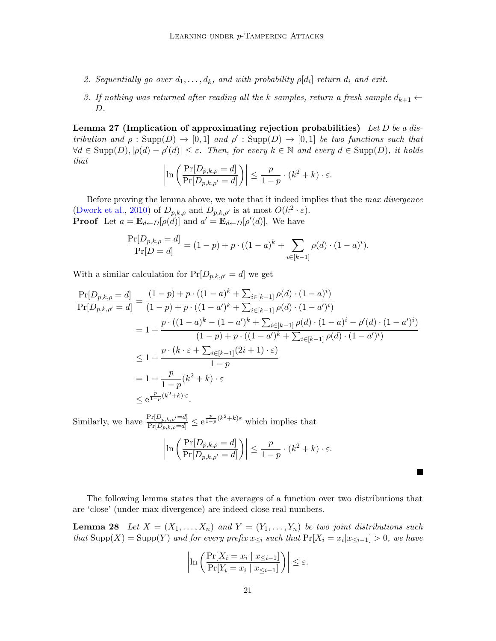- 2. Sequentially go over  $d_1, \ldots, d_k$ , and with probability  $\rho[d_i]$  return  $d_i$  and exit.
- 3. If nothing was returned after reading all the k samples, return a fresh sample  $d_{k+1} \leftarrow$  $D$ .

<span id="page-20-0"></span>Lemma 27 (Implication of approximating rejection probabilities) Let D be a distribution and  $\rho : \text{Supp}(D) \to [0,1]$  and  $\rho' : \text{Supp}(D) \to [0,1]$  be two functions such that  $\forall d \in \text{Supp}(D), |\rho(d) - \rho'(d)| \leq \varepsilon$ . Then, for every  $k \in \mathbb{N}$  and every  $d \in \text{Supp}(D)$ , it holds that

$$
\left|\ln\left(\frac{\Pr[D_{p,k,\rho}=d]}{\Pr[D_{p,k,\rho'}=d]}\right)\right|\leq\frac{p}{1-p}\cdot(k^2+k)\cdot\varepsilon.
$$

Before proving the lemma above, we note that it indeed implies that the max divergence [\(Dwork et al.,](#page-13-13) [2010\)](#page-13-13) of  $D_{p,k,\rho}$  and  $D_{p,k,\rho'}$  is at most  $O(k^2 \cdot \varepsilon)$ . **Proof** Let  $a = \mathbf{E}_{d \leftarrow D}[\rho(d)]$  and  $a' = \mathbf{E}_{d \leftarrow D}[\rho'(d)]$ . We have

$$
\frac{\Pr[D_{p,k,\rho} = d]}{\Pr[D = d]} = (1 - p) + p \cdot ((1 - a)^k + \sum_{i \in [k-1]} \rho(d) \cdot (1 - a)^i).
$$

With a similar calculation for  $Pr[D_{p,k,p'} = d]$  we get

$$
\frac{\Pr[D_{p,k,\rho} = d]}{\Pr[D_{p,k,\rho'} = d]} = \frac{(1-p) + p \cdot ((1-a)^k + \sum_{i \in [k-1]} \rho(d) \cdot (1-a)^i)}{(1-p) + p \cdot ((1-a')^k + \sum_{i \in [k-1]} \rho(d) \cdot (1-a')^i)}
$$
\n
$$
= 1 + \frac{p \cdot ((1-a)^k - (1-a')^k + \sum_{i \in [k-1]} \rho(d) \cdot (1-a)^i - \rho'(d) \cdot (1-a')^i)}{(1-p) + p \cdot ((1-a')^k + \sum_{i \in [k-1]} \rho(d) \cdot (1-a')^i)}
$$
\n
$$
\leq 1 + \frac{p \cdot (k \cdot \varepsilon + \sum_{i \in [k-1]} (2i+1) \cdot \varepsilon)}{1-p}
$$
\n
$$
= 1 + \frac{p}{1-p} (k^2 + k) \cdot \varepsilon
$$
\n
$$
\leq e^{\frac{p}{1-p}(k^2 + k) \cdot \varepsilon}.
$$

Similarly, we have  $\frac{\Pr[D_{p,k,\rho'}=d]}{\Pr[D_{p,k,\rho}=d]} \leq e^{\frac{p}{1-p}(k^2+k)\varepsilon}$  which implies that

$$
\left|\ln\left(\frac{\Pr[D_{p,k,\rho} = d]}{\Pr[D_{p,k,\rho'} = d]}\right)\right| \le \frac{p}{1-p} \cdot (k^2 + k) \cdot \varepsilon.
$$

The following lemma states that the averages of a function over two distributions that are 'close' (under max divergence) are indeed close real numbers.

**Lemma 28** Let  $X = (X_1, \ldots, X_n)$  and  $Y = (Y_1, \ldots, Y_n)$  be two joint distributions such that  $\text{Supp}(X) = \text{Supp}(Y)$  and for every prefix  $x_{\leq i}$  such that  $\Pr[X_i = x_i | x_{\leq i-1}] > 0$ , we have

<span id="page-20-1"></span>
$$
\left|\ln\left(\frac{\Pr[X_i = x_i \mid x_{\leq i-1}]}{\Pr[Y_i = x_i \mid x_{\leq i-1}]}\right)\right| \leq \varepsilon.
$$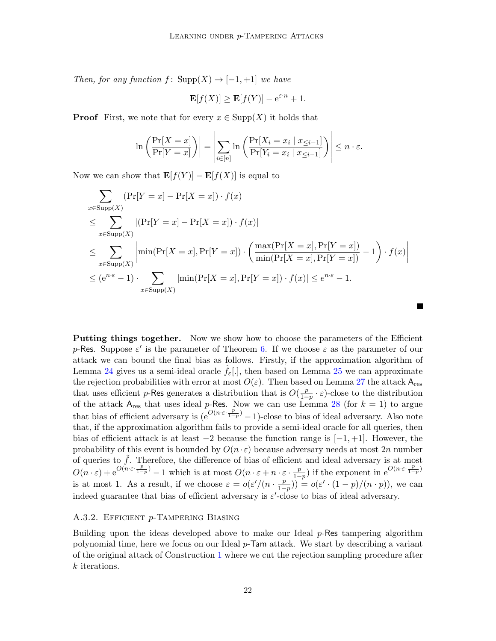Then, for any function  $f: Supp(X) \to [-1,+1]$  we have

$$
\mathbf{E}[f(X)] \ge \mathbf{E}[f(Y)] - e^{\varepsilon \cdot n} + 1.
$$

**Proof** First, we note that for every  $x \in \text{Supp}(X)$  it holds that

$$
\left|\ln\left(\frac{\Pr[X=x]}{\Pr[Y=x]}\right)\right| = \left|\sum_{i\in[n]} \ln\left(\frac{\Pr[X_i=x_i \mid x_{\leq i-1}]}{\Pr[Y_i=x_i \mid x_{\leq i-1}]}\right)\right| \leq n \cdot \varepsilon.
$$

Now we can show that  $\mathbf{E}[f(Y)] - \mathbf{E}[f(X)]$  is equal to

$$
\sum_{x \in \text{Supp}(X)} (\Pr[Y = x] - \Pr[X = x]) \cdot f(x)
$$
\n
$$
\leq \sum_{x \in \text{Supp}(X)} |(\Pr[Y = x] - \Pr[X = x]) \cdot f(x)|
$$
\n
$$
\leq \sum_{x \in \text{Supp}(X)} \left| \min(\Pr[X = x], \Pr[Y = x]) \cdot \left( \frac{\max(\Pr[X = x], \Pr[Y = x])}{\min(\Pr[X = x], \Pr[Y = x])} - 1 \right) \cdot f(x) \right|
$$
\n
$$
\leq (e^{n \cdot \varepsilon} - 1) \cdot \sum_{x \in \text{Supp}(X)} |\min(\Pr[X = x], \Pr[Y = x]) \cdot f(x)| \leq e^{n \cdot \varepsilon} - 1.
$$

Putting things together. Now we show how to choose the parameters of the Efficient p-Res. Suppose  $\varepsilon'$  is the parameter of Theorem [6.](#page-7-1) If we choose  $\varepsilon$  as the parameter of our attack we can bound the final bias as follows. Firstly, if the approximation algorithm of Lemma [24](#page-18-1) gives us a semi-ideal oracle  $f_{\varepsilon}$ ., then based on Lemma [25](#page-19-0) we can approximate the rejection probabilities with error at most  $O(\varepsilon)$ . Then based on Lemma [27](#page-20-0) the attack  $A_{res}$ that uses efficient p-Res generates a distribution that is  $O(\frac{p}{1-p})$  $\frac{p}{1-p} \cdot \varepsilon$ )-close to the distribution of the attack  $A_{res}$  that uses ideal p-Res. Now we can use Lemma [28](#page-20-1) (for  $k = 1$ ) to argue that bias of efficient adversary is  $(e^{O(n \cdot \varepsilon \cdot \frac{p}{1-p})} - 1)$ -close to bias of ideal adversary. Also note that, if the approximation algorithm fails to provide a semi-ideal oracle for all queries, then bias of efficient attack is at least  $-2$  because the function range is  $[-1, +1]$ . However, the probability of this event is bounded by  $O(n \cdot \varepsilon)$  because adversary needs at most 2n number of queries to  $\tilde{f}$ . Therefore, the difference of bias of efficient and ideal adversary is at most  $O(n \cdot \varepsilon) + e^{O(n \cdot \varepsilon \cdot \frac{p}{1-p})} - 1$  which is at most  $O(n \cdot \varepsilon + n \cdot \varepsilon \cdot \frac{p}{1-p})$  $\frac{p}{1-p}$ ) if the exponent in  $e^{O(n \cdot \varepsilon \cdot \frac{p}{1-p})}$ is at most 1. As a result, if we choose  $\varepsilon = o(\varepsilon'/(n \cdot \frac{p}{1-\varepsilon}))$  $(\frac{p}{1-p})$  =  $o(\varepsilon' \cdot (1-p)/(n \cdot p))$ , we can indeed guarantee that bias of efficient adversary is  $\varepsilon'$ -close to bias of ideal adversary.

#### A.3.2. Efficient p-Tampering Biasing

<span id="page-21-0"></span>Building upon the ideas developed above to make our Ideal  $p$ -Res tampering algorithm polynomial time, here we focus on our Ideal p-Tam attack. We start by describing a variant of the original attack of Construction [1](#page-9-1) where we cut the rejection sampling procedure after k iterations.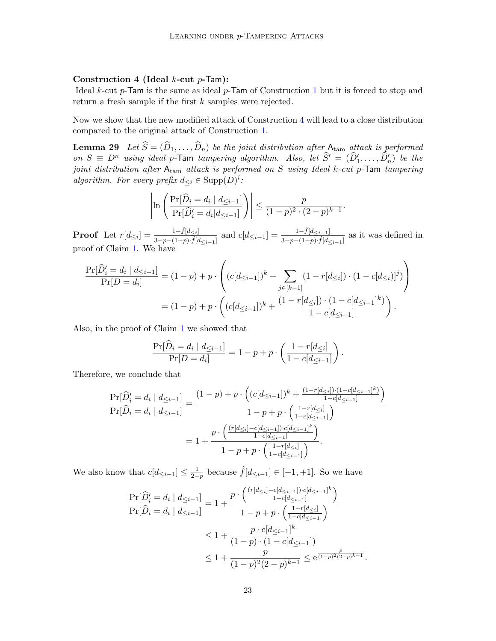#### Construction 4 (Ideal  $k$ -cut  $p$ -Tam):

Ideal k-cut  $p$ -Tam is the same as ideal  $p$ -Tam of Construction [1](#page-9-1) but it is forced to stop and return a fresh sample if the first k samples were rejected.

Now we show that the new modified attack of Construction [4](#page-21-0) will lead to a close distribution compared to the original attack of Construction [1.](#page-9-1)

**Lemma 29** Let  $\widehat{S} = (\widehat{D}_1, \ldots, \widehat{D}_n)$  be the joint distribution after  $A_{\text{tam}}$  attack is performed on  $S \equiv D^n$  using ideal p-Tam tampering algorithm. Also, let  $\widehat{S}' = (\widehat{D}'_1, \ldots, \widehat{D}'_n)$  be the joint distribution after  $A_{\text{tam}}$  attack is performed on S using Ideal k-cut p-Tam tampering algorithm. For every prefix  $d_{\leq i} \in \text{Supp}(D)^i$ :

<span id="page-22-0"></span>
$$
\left| \ln \left( \frac{\Pr[\widehat{D}_i = d_i \mid d_{\leq i-1}]}{\Pr[\widehat{D}'_i = d_i | d_{\leq i-1}]} \right) \right| \leq \frac{p}{(1-p)^2 \cdot (2-p)^{k-1}}.
$$

**Proof** Let  $r[d_{\leq i}] = \frac{1-\hat{f}[d_{\leq i}]}{2-n-(1-n)\cdot\hat{f}[d_{\leq i}]}$  $\frac{1-\hat{f}[d_{\leq i}]}{3-p-(1-p)\cdot\hat{f}[d_{\leq i-1}]}$  and  $c[d_{\leq i-1}]=\frac{1-\hat{f}[d_{\leq i-1}]}{3-p-(1-p)\cdot\hat{f}[d_{\leq i-1}]}$  as it was defined in proof of Claim [1.](#page-15-5) We have

$$
\frac{\Pr[\widehat{D}'_i = d_i | d_{\leq i-1}]}{\Pr[D = d_i]} = (1-p) + p \cdot \left( (c[d_{\leq i-1}])^k + \sum_{j \in [k-1]} (1 - r[d_{\leq i}]) \cdot (1 - c[d_{\leq i})]^j \right)
$$

$$
= (1-p) + p \cdot \left( (c[d_{\leq i-1}])^k + \frac{(1 - r[d_{\leq i}]) \cdot (1 - c[d_{\leq i-1}])^k}{1 - c[d_{\leq i-1}]} \right).
$$

Also, in the proof of Claim [1](#page-15-5) we showed that

$$
\frac{\Pr[\widehat{D}_i = d_i | d_{\leq i-1}]}{\Pr[D = d_i]} = 1 - p + p \cdot \left(\frac{1 - r[d_{\leq i}]}{1 - c[d_{\leq i-1}]} \right).
$$

Therefore, we conclude that

$$
\frac{\Pr[\widehat{D}'_i = d_i | d_{\leq i-1}]}{\Pr[\widehat{D}_i = d_i | d_{\leq i-1}]} = \frac{(1-p) + p \cdot \left( (c[d_{\leq i-1}])^k + \frac{(1-r[d_{\leq i}]) \cdot (1-c[d_{\leq i-1}]^k)}{1-c[d_{\leq i-1}]} \right)}{1-p+p \cdot \left( \frac{1-r[d_{\leq i}]}{1-c[d_{\leq i-1}]} \right)}
$$

$$
= 1 + \frac{p \cdot \left( \frac{(r[d_{\leq i}] - c[d_{\leq i-1}]) \cdot c[d_{\leq i-1}]^k}{1-c[d_{\leq i-1}]} \right)}{1-p+p \cdot \left( \frac{1-r[d_{\leq i}]}{1-c[d_{\leq i-1}]} \right)}.
$$

We also know that  $c[d_{\leq i-1}] \leq \frac{1}{2-p}$  because  $\hat{f}[d_{\leq i-1}] \in [-1, +1]$ . So we have

$$
\frac{\Pr[\widehat{D}'_i = d_i | d_{\leq i-1}]}{\Pr[\widehat{D}_i = d_i | d_{\leq i-1}]} = 1 + \frac{p \cdot \left( \frac{(r[d_{\leq i} - c[d_{\leq i-1}]) \cdot c[d_{\leq i-1}]}{1 - c[d_{\leq i-1}]} \right)}{1 - p + p \cdot \left( \frac{1 - r[d_{\leq i}]}{1 - c[d_{\leq i-1}]} \right)}
$$
  

$$
\leq 1 + \frac{p \cdot c[d_{\leq i-1}]^k}{(1 - p) \cdot (1 - c[d_{\leq i-1}])}
$$
  

$$
\leq 1 + \frac{p}{(1 - p)^2 (2 - p)^{k-1}} \leq e^{\frac{p}{(1 - p)^2 (2 - p)^{k-1}}}
$$

.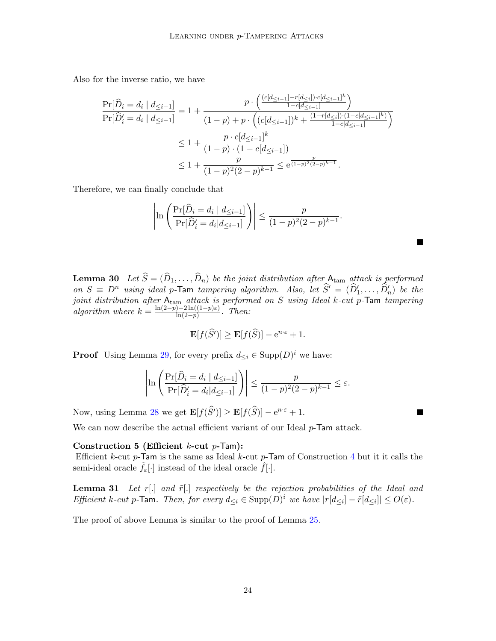Also for the inverse ratio, we have

$$
\begin{split} \frac{\Pr[\widehat{D}_{i} = d_{i} \mid d_{\leq i-1}]}{\Pr[\widehat{D}'_{i} = d_{i} \mid d_{\leq i-1}]} &= 1 + \frac{p \cdot \left( \frac{(c[d_{\leq i-1}] - r[d_{\leq i}]) \cdot c[d_{\leq i-1}]^{k}}{1 - c[d_{\leq i-1}]} \right)}{\left( 1 - p \right) + p \cdot \left( \left( c[d_{\leq i-1}] \right)^{k} + \frac{(1 - r[d_{\leq i}]) \cdot (1 - c[d_{\leq i-1}]^{k}}{1 - c[d_{\leq i-1}]} \right)} \\ &\leq 1 + \frac{p \cdot c[d_{\leq i-1}]^{k}}{\left( 1 - p \right) \cdot \left( 1 - c[d_{\leq i-1}] \right)} \\ &\leq 1 + \frac{p}{(1 - p)^{2} (2 - p)^{k-1}} \leq \mathrm{e}^{\frac{p}{(1 - p)^{2} (2 - p)^{k-1}}} . \end{split}
$$

Therefore, we can finally conclude that

$$
\left| \ln \left( \frac{\Pr[\widehat{D}_i = d_i \mid d_{\leq i-1}]}{\Pr[\widehat{D}'_i = d_i | d_{\leq i-1}]} \right) \right| \leq \frac{p}{(1-p)^2(2-p)^{k-1}}.
$$

<span id="page-23-1"></span>**Lemma 30** Let  $\widehat{S} = (\widehat{D}_1, \ldots, \widehat{D}_n)$  be the joint distribution after  $A_{\text{tam}}$  attack is performed on  $S \equiv D^n$  using ideal p-Tam tampering algorithm. Also, let  $\widehat{S}' = (\widehat{D}'_1, \ldots, \widehat{D}'_n)$  be the joint distribution after  $A_{\text{tam}}$  attack is performed on S using Ideal k-cut p-Tam tampering algorithm where  $k = \frac{\ln(2-p)-2\ln((1-p)\varepsilon)}{\ln(2-p)}$  $rac{\ln(1-p)\epsilon}{\ln(2-p)}$ . Then:

$$
\mathbf{E}[f(\widehat{S}')] \ge \mathbf{E}[f(\widehat{S})] - e^{n \cdot \varepsilon} + 1.
$$

**Proof** Using Lemma [29,](#page-22-0) for every prefix  $d \leq i \in \text{Supp}(D)^i$  we have:

$$
\left|\ln\left(\frac{\Pr[\widehat{D}_i=d_i \mid d_{\leq i-1}]}{\Pr[\widehat{D}'_i=d_i \mid d_{\leq i-1}]}\right)\right| \leq \frac{p}{(1-p)^2(2-p)^{k-1}} \leq \varepsilon.
$$

Now, using Lemma [28](#page-20-1) we get  $\mathbf{E}[f(\widehat{S})] \geq \mathbf{E}[f(\widehat{S})] - e^{n \cdot \epsilon} + 1$ .

We can now describe the actual efficient variant of our Ideal p-Tam attack.

#### Construction 5 (Efficient  $k$ -cut  $p$ -Tam):

Efficient  $k$ -cut  $p$ -Tam is the same as Ideal  $k$ -cut  $p$ -Tam of Construction [4](#page-21-0) but it it calls the semi-ideal oracle  $f_{\varepsilon}[\cdot]$  instead of the ideal oracle  $f[\cdot]$ .

<span id="page-23-0"></span>**Lemma 31** Let  $r[.]$  and  $\tilde{r}[.]$  respectively be the rejection probabilities of the Ideal and Efficient k-cut p-Tam. Then, for every  $d_{\leq i} \in \text{Supp}(D)^i$  we have  $|r[d_{\leq i}] - \tilde{r}[d_{\leq i}]| \leq O(\varepsilon)$ .

The proof of above Lemma is similar to the proof of Lemma [25.](#page-19-0)